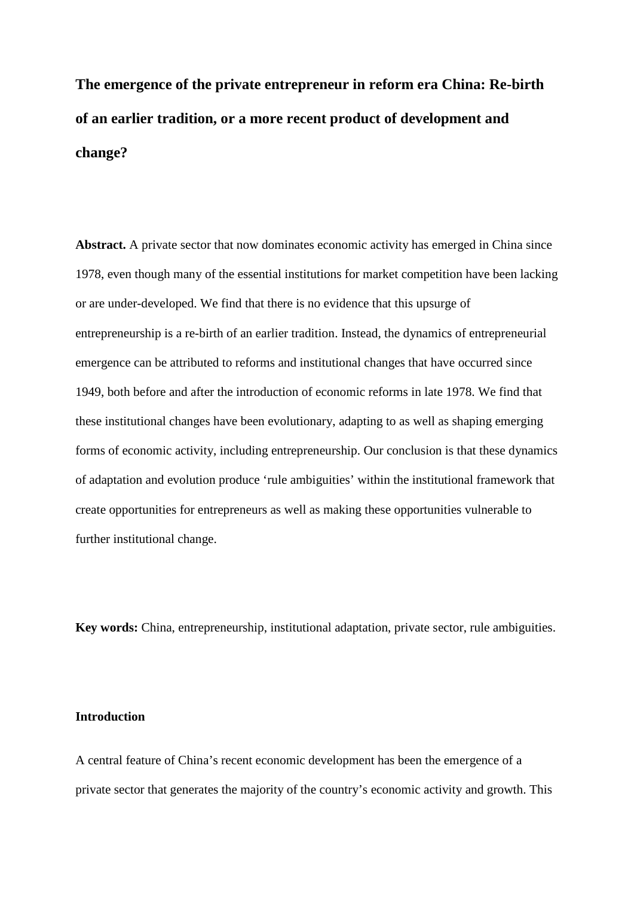**The emergence of the private entrepreneur in reform era China: Re-birth of an earlier tradition, or a more recent product of development and change?**

**Abstract.** A private sector that now dominates economic activity has emerged in China since 1978, even though many of the essential institutions for market competition have been lacking or are under-developed. We find that there is no evidence that this upsurge of entrepreneurship is a re-birth of an earlier tradition. Instead, the dynamics of entrepreneurial emergence can be attributed to reforms and institutional changes that have occurred since 1949, both before and after the introduction of economic reforms in late 1978. We find that these institutional changes have been evolutionary, adapting to as well as shaping emerging forms of economic activity, including entrepreneurship. Our conclusion is that these dynamics of adaptation and evolution produce 'rule ambiguities' within the institutional framework that create opportunities for entrepreneurs as well as making these opportunities vulnerable to further institutional change.

**Key words:** China, entrepreneurship, institutional adaptation, private sector, rule ambiguities.

# **Introduction**

A central feature of China's recent economic development has been the emergence of a private sector that generates the majority of the country's economic activity and growth. This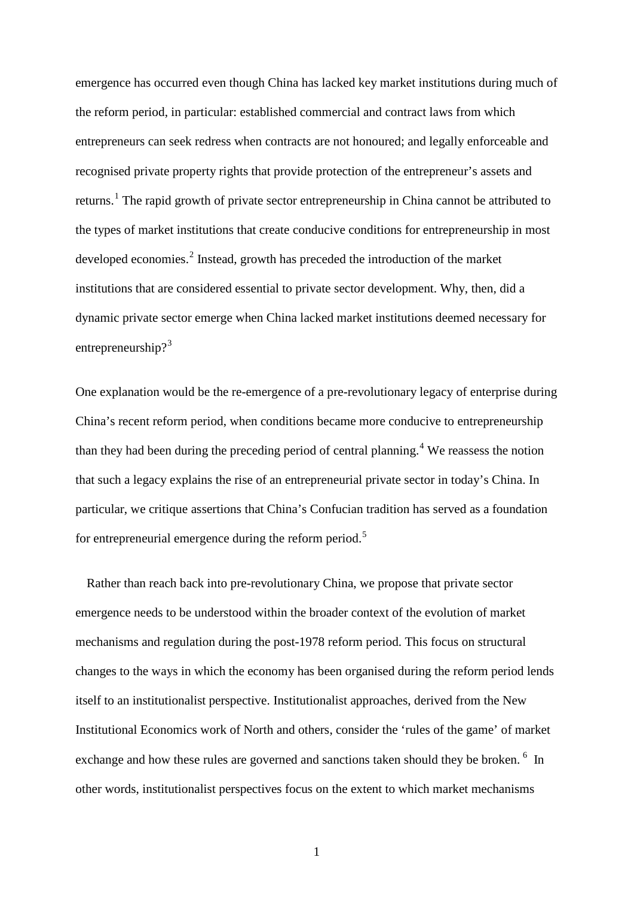emergence has occurred even though China has lacked key market institutions during much of the reform period, in particular: established commercial and contract laws from which entrepreneurs can seek redress when contracts are not honoured; and legally enforceable and recognised private property rights that provide protection of the entrepreneur's assets and returns.<sup>[1](#page-49-0)</sup> The rapid growth of private sector entrepreneurship in China cannot be attributed to the types of market institutions that create conducive conditions for entrepreneurship in most developed economies.<sup>[2](#page-49-1)</sup> Instead, growth has preceded the introduction of the market institutions that are considered essential to private sector development. Why, then, did a dynamic private sector emerge when China lacked market institutions deemed necessary for entrepreneurship?<sup>[3](#page-49-2)</sup>

One explanation would be the re-emergence of a pre-revolutionary legacy of enterprise during China's recent reform period, when conditions became more conducive to entrepreneurship than they had been during the preceding period of central planning.<sup>[4](#page-49-3)</sup> We reassess the notion that such a legacy explains the rise of an entrepreneurial private sector in today's China. In particular, we critique assertions that China's Confucian tradition has served as a foundation for entrepreneurial emergence during the reform period.<sup>[5](#page-49-4)</sup>

Rather than reach back into pre-revolutionary China, we propose that private sector emergence needs to be understood within the broader context of the evolution of market mechanisms and regulation during the post-1978 reform period. This focus on structural changes to the ways in which the economy has been organised during the reform period lends itself to an institutionalist perspective. Institutionalist approaches, derived from the New Institutional Economics work of North and others, consider the 'rules of the game' of market exchange and how these rules are governed and sanctions taken should they be broken. <sup>[6](#page-49-5)</sup> In other words, institutionalist perspectives focus on the extent to which market mechanisms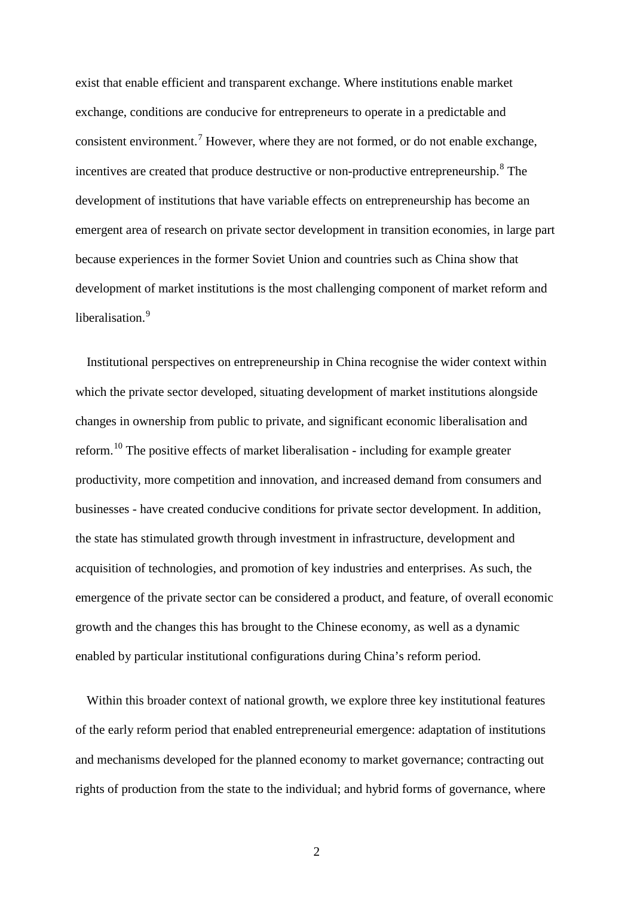exist that enable efficient and transparent exchange. Where institutions enable market exchange, conditions are conducive for entrepreneurs to operate in a predictable and consistent environment.<sup>[7](#page-50-0)</sup> However, where they are not formed, or do not enable exchange, incentives are created that produce destructive or non-productive entrepreneurship.<sup>[8](#page-50-1)</sup> The development of institutions that have variable effects on entrepreneurship has become an emergent area of research on private sector development in transition economies, in large part because experiences in the former Soviet Union and countries such as China show that development of market institutions is the most challenging component of market reform and liberalisation.<sup>[9](#page-50-2)</sup>

Institutional perspectives on entrepreneurship in China recognise the wider context within which the private sector developed, situating development of market institutions alongside changes in ownership from public to private, and significant economic liberalisation and reform.<sup>[10](#page-50-3)</sup> The positive effects of market liberalisation - including for example greater productivity, more competition and innovation, and increased demand from consumers and businesses - have created conducive conditions for private sector development. In addition, the state has stimulated growth through investment in infrastructure, development and acquisition of technologies, and promotion of key industries and enterprises. As such, the emergence of the private sector can be considered a product, and feature, of overall economic growth and the changes this has brought to the Chinese economy, as well as a dynamic enabled by particular institutional configurations during China's reform period.

Within this broader context of national growth, we explore three key institutional features of the early reform period that enabled entrepreneurial emergence: adaptation of institutions and mechanisms developed for the planned economy to market governance; contracting out rights of production from the state to the individual; and hybrid forms of governance, where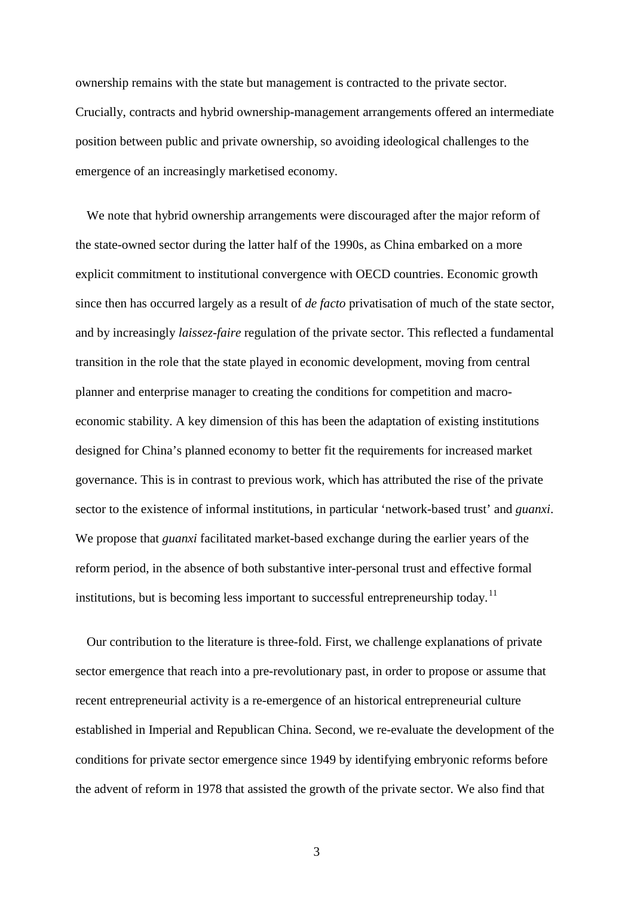ownership remains with the state but management is contracted to the private sector. Crucially, contracts and hybrid ownership-management arrangements offered an intermediate position between public and private ownership, so avoiding ideological challenges to the emergence of an increasingly marketised economy.

We note that hybrid ownership arrangements were discouraged after the major reform of the state-owned sector during the latter half of the 1990s, as China embarked on a more explicit commitment to institutional convergence with OECD countries. Economic growth since then has occurred largely as a result of *de facto* privatisation of much of the state sector, and by increasingly *laissez-faire* regulation of the private sector. This reflected a fundamental transition in the role that the state played in economic development, moving from central planner and enterprise manager to creating the conditions for competition and macroeconomic stability. A key dimension of this has been the adaptation of existing institutions designed for China's planned economy to better fit the requirements for increased market governance. This is in contrast to previous work, which has attributed the rise of the private sector to the existence of informal institutions, in particular 'network-based trust' and *guanxi*. We propose that *guanxi* facilitated market-based exchange during the earlier years of the reform period, in the absence of both substantive inter-personal trust and effective formal institutions, but is becoming less important to successful entrepreneurship today.<sup>[11](#page-50-4)</sup>

Our contribution to the literature is three-fold. First, we challenge explanations of private sector emergence that reach into a pre-revolutionary past, in order to propose or assume that recent entrepreneurial activity is a re-emergence of an historical entrepreneurial culture established in Imperial and Republican China. Second, we re-evaluate the development of the conditions for private sector emergence since 1949 by identifying embryonic reforms before the advent of reform in 1978 that assisted the growth of the private sector. We also find that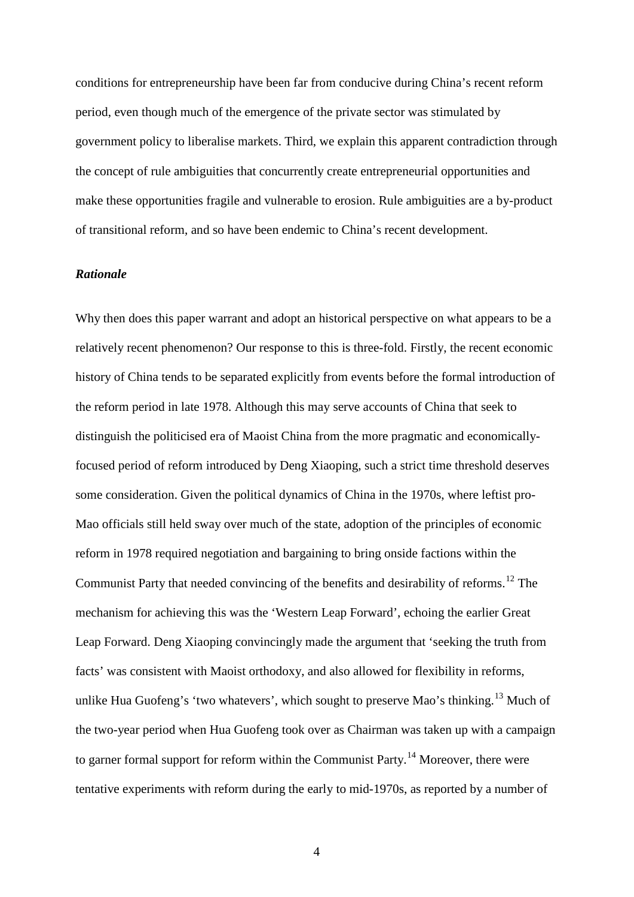conditions for entrepreneurship have been far from conducive during China's recent reform period, even though much of the emergence of the private sector was stimulated by government policy to liberalise markets. Third, we explain this apparent contradiction through the concept of rule ambiguities that concurrently create entrepreneurial opportunities and make these opportunities fragile and vulnerable to erosion. Rule ambiguities are a by-product of transitional reform, and so have been endemic to China's recent development.

## *Rationale*

Why then does this paper warrant and adopt an historical perspective on what appears to be a relatively recent phenomenon? Our response to this is three-fold. Firstly, the recent economic history of China tends to be separated explicitly from events before the formal introduction of the reform period in late 1978. Although this may serve accounts of China that seek to distinguish the politicised era of Maoist China from the more pragmatic and economicallyfocused period of reform introduced by Deng Xiaoping, such a strict time threshold deserves some consideration. Given the political dynamics of China in the 1970s, where leftist pro-Mao officials still held sway over much of the state, adoption of the principles of economic reform in 1978 required negotiation and bargaining to bring onside factions within the Communist Party that needed convincing of the benefits and desirability of reforms.[12](#page-51-0) The mechanism for achieving this was the 'Western Leap Forward', echoing the earlier Great Leap Forward. Deng Xiaoping convincingly made the argument that 'seeking the truth from facts' was consistent with Maoist orthodoxy, and also allowed for flexibility in reforms, unlike Hua Guofeng's 'two whatevers', which sought to preserve Mao's thinking.<sup>[13](#page-51-1)</sup> Much of the two-year period when Hua Guofeng took over as Chairman was taken up with a campaign to garner formal support for reform within the Communist Party.<sup>[14](#page-51-2)</sup> Moreover, there were tentative experiments with reform during the early to mid-1970s, as reported by a number of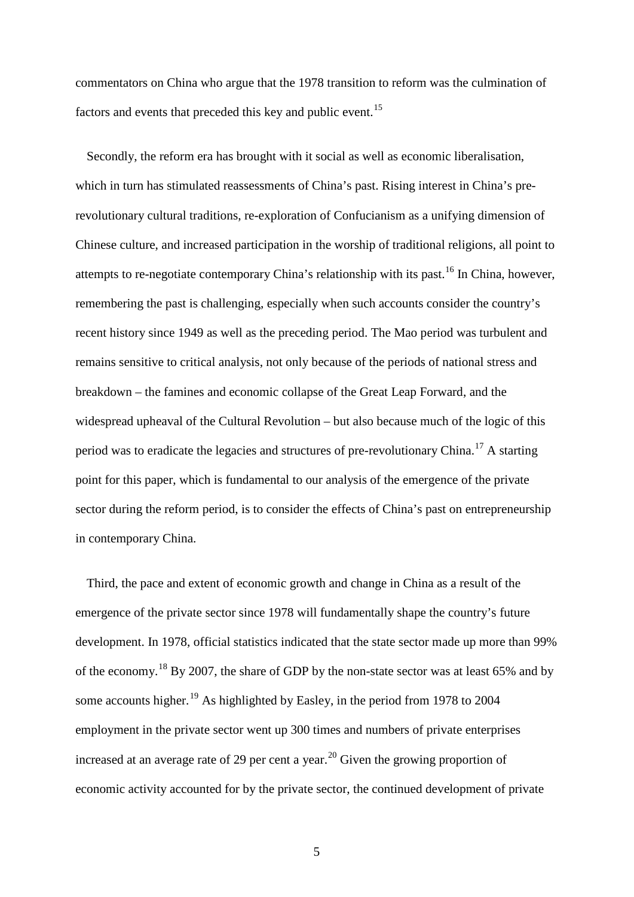commentators on China who argue that the 1978 transition to reform was the culmination of factors and events that preceded this key and public event.<sup>[15](#page-52-0)</sup>

Secondly, the reform era has brought with it social as well as economic liberalisation, which in turn has stimulated reassessments of China's past. Rising interest in China's prerevolutionary cultural traditions, re-exploration of Confucianism as a unifying dimension of Chinese culture, and increased participation in the worship of traditional religions, all point to attempts to re-negotiate contemporary China's relationship with its past.<sup>[16](#page-52-1)</sup> In China, however, remembering the past is challenging, especially when such accounts consider the country's recent history since 1949 as well as the preceding period. The Mao period was turbulent and remains sensitive to critical analysis, not only because of the periods of national stress and breakdown – the famines and economic collapse of the Great Leap Forward, and the widespread upheaval of the Cultural Revolution – but also because much of the logic of this period was to eradicate the legacies and structures of pre-revolutionary China.<sup>[17](#page-52-2)</sup> A starting point for this paper, which is fundamental to our analysis of the emergence of the private sector during the reform period, is to consider the effects of China's past on entrepreneurship in contemporary China.

Third, the pace and extent of economic growth and change in China as a result of the emergence of the private sector since 1978 will fundamentally shape the country's future development. In 1978, official statistics indicated that the state sector made up more than 99% of the economy.<sup>[18](#page-52-3)</sup> By 2007, the share of GDP by the non-state sector was at least 65% and by some accounts higher.<sup>[19](#page-52-4)</sup> As highlighted by Easley, in the period from 1978 to 2004 employment in the private sector went up 300 times and numbers of private enterprises increased at an average rate of 29 per cent a year.<sup>[20](#page-52-5)</sup> Given the growing proportion of economic activity accounted for by the private sector, the continued development of private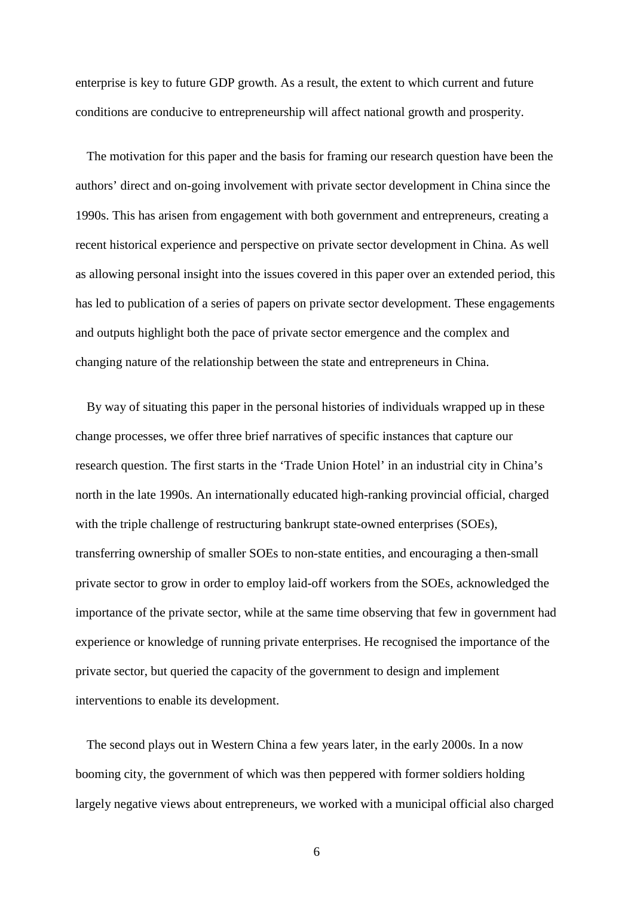enterprise is key to future GDP growth. As a result, the extent to which current and future conditions are conducive to entrepreneurship will affect national growth and prosperity.

The motivation for this paper and the basis for framing our research question have been the authors' direct and on-going involvement with private sector development in China since the 1990s. This has arisen from engagement with both government and entrepreneurs, creating a recent historical experience and perspective on private sector development in China. As well as allowing personal insight into the issues covered in this paper over an extended period, this has led to publication of a series of papers on private sector development. These engagements and outputs highlight both the pace of private sector emergence and the complex and changing nature of the relationship between the state and entrepreneurs in China.

By way of situating this paper in the personal histories of individuals wrapped up in these change processes, we offer three brief narratives of specific instances that capture our research question. The first starts in the 'Trade Union Hotel' in an industrial city in China's north in the late 1990s. An internationally educated high-ranking provincial official, charged with the triple challenge of restructuring bankrupt state-owned enterprises (SOEs), transferring ownership of smaller SOEs to non-state entities, and encouraging a then-small private sector to grow in order to employ laid-off workers from the SOEs, acknowledged the importance of the private sector, while at the same time observing that few in government had experience or knowledge of running private enterprises. He recognised the importance of the private sector, but queried the capacity of the government to design and implement interventions to enable its development.

The second plays out in Western China a few years later, in the early 2000s. In a now booming city, the government of which was then peppered with former soldiers holding largely negative views about entrepreneurs, we worked with a municipal official also charged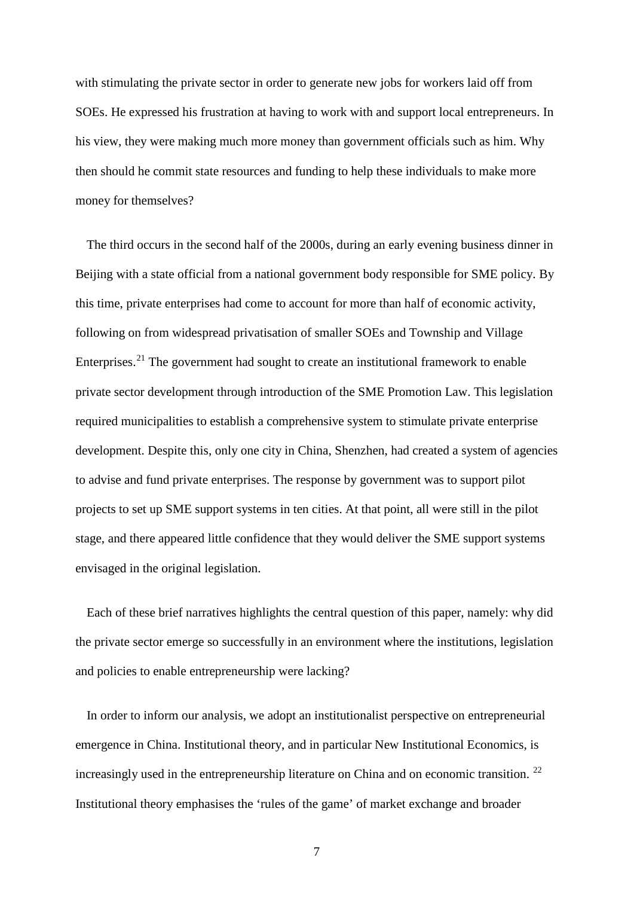with stimulating the private sector in order to generate new jobs for workers laid off from SOEs. He expressed his frustration at having to work with and support local entrepreneurs. In his view, they were making much more money than government officials such as him. Why then should he commit state resources and funding to help these individuals to make more money for themselves?

The third occurs in the second half of the 2000s, during an early evening business dinner in Beijing with a state official from a national government body responsible for SME policy. By this time, private enterprises had come to account for more than half of economic activity, following on from widespread privatisation of smaller SOEs and Township and Village Enterprises.<sup>[21](#page-53-0)</sup> The government had sought to create an institutional framework to enable private sector development through introduction of the SME Promotion Law. This legislation required municipalities to establish a comprehensive system to stimulate private enterprise development. Despite this, only one city in China, Shenzhen, had created a system of agencies to advise and fund private enterprises. The response by government was to support pilot projects to set up SME support systems in ten cities. At that point, all were still in the pilot stage, and there appeared little confidence that they would deliver the SME support systems envisaged in the original legislation.

Each of these brief narratives highlights the central question of this paper, namely: why did the private sector emerge so successfully in an environment where the institutions, legislation and policies to enable entrepreneurship were lacking?

In order to inform our analysis, we adopt an institutionalist perspective on entrepreneurial emergence in China. Institutional theory, and in particular New Institutional Economics, is increasingly used in the entrepreneurship literature on China and on economic transition.  $^{22}$  $^{22}$  $^{22}$ Institutional theory emphasises the 'rules of the game' of market exchange and broader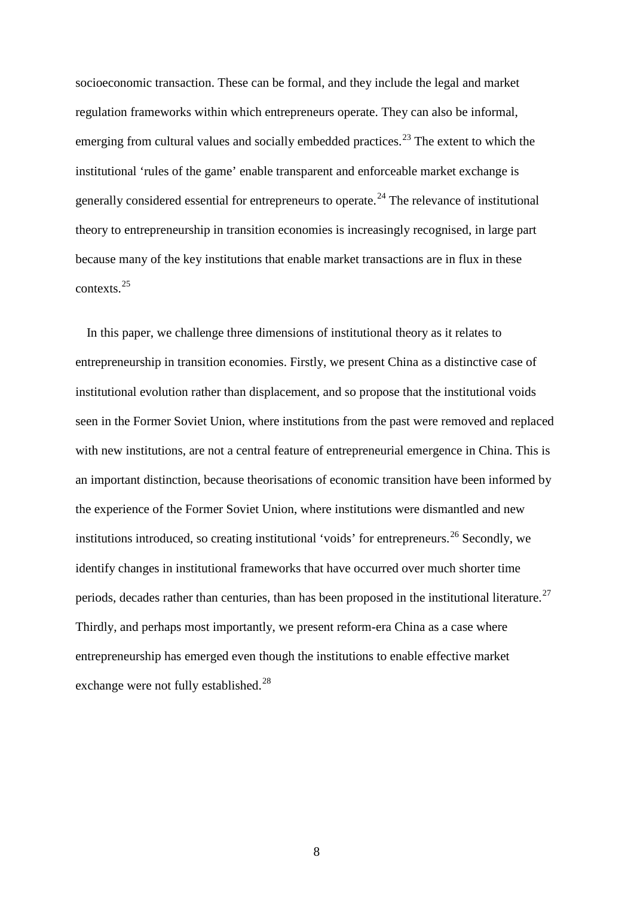socioeconomic transaction. These can be formal, and they include the legal and market regulation frameworks within which entrepreneurs operate. They can also be informal, emerging from cultural values and socially embedded practices.<sup>[23](#page-54-0)</sup> The extent to which the institutional 'rules of the game' enable transparent and enforceable market exchange is generally considered essential for entrepreneurs to operate.<sup>[24](#page-54-1)</sup> The relevance of institutional theory to entrepreneurship in transition economies is increasingly recognised, in large part because many of the key institutions that enable market transactions are in flux in these contexts. [25](#page-54-2)

In this paper, we challenge three dimensions of institutional theory as it relates to entrepreneurship in transition economies. Firstly, we present China as a distinctive case of institutional evolution rather than displacement, and so propose that the institutional voids seen in the Former Soviet Union, where institutions from the past were removed and replaced with new institutions, are not a central feature of entrepreneurial emergence in China. This is an important distinction, because theorisations of economic transition have been informed by the experience of the Former Soviet Union, where institutions were dismantled and new institutions introduced, so creating institutional 'voids' for entrepreneurs.<sup>[26](#page-54-3)</sup> Secondly, we identify changes in institutional frameworks that have occurred over much shorter time periods, decades rather than centuries, than has been proposed in the institutional literature.<sup>[27](#page-54-4)</sup> Thirdly, and perhaps most importantly, we present reform-era China as a case where entrepreneurship has emerged even though the institutions to enable effective market exchange were not fully established.<sup>[28](#page-54-5)</sup>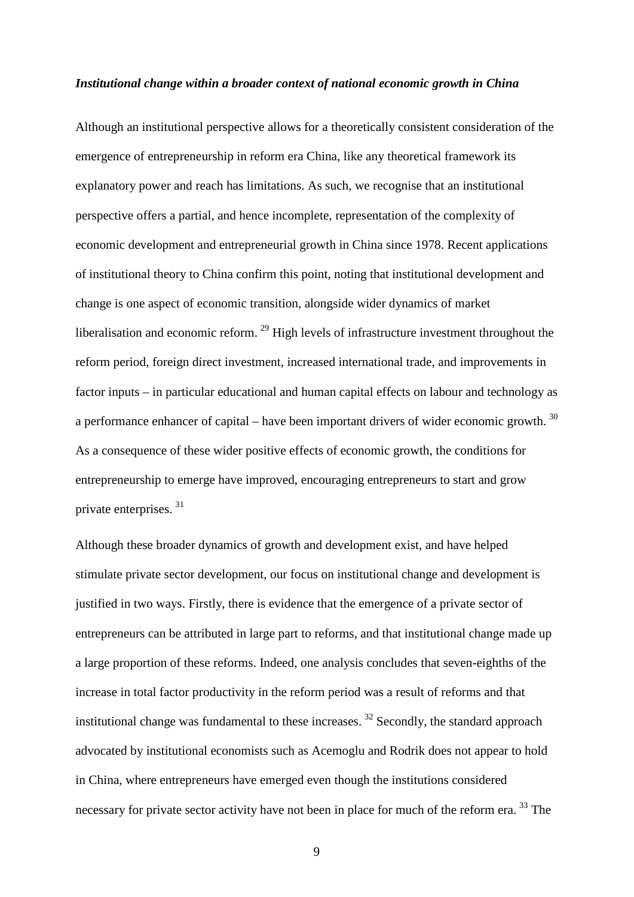#### *Institutional change within a broader context of national economic growth in China*

Although an institutional perspective allows for a theoretically consistent consideration of the emergence of entrepreneurship in reform era China, like any theoretical framework its explanatory power and reach has limitations. As such, we recognise that an institutional perspective offers a partial, and hence incomplete, representation of the complexity of economic development and entrepreneurial growth in China since 1978. Recent applications of institutional theory to China confirm this point, noting that institutional development and change is one aspect of economic transition, alongside wider dynamics of market liberalisation and economic reform.  $^{29}$  $^{29}$  $^{29}$  High levels of infrastructure investment throughout the reform period, foreign direct investment, increased international trade, and improvements in factor inputs – in particular educational and human capital effects on labour and technology as a performance enhancer of capital – have been important drivers of wider economic growth.  $30$ As a consequence of these wider positive effects of economic growth, the conditions for entrepreneurship to emerge have improved, encouraging entrepreneurs to start and grow private enterprises. [31](#page-55-2)

Although these broader dynamics of growth and development exist, and have helped stimulate private sector development, our focus on institutional change and development is justified in two ways. Firstly, there is evidence that the emergence of a private sector of entrepreneurs can be attributed in large part to reforms, and that institutional change made up a large proportion of these reforms. Indeed, one analysis concludes that seven-eighths of the increase in total factor productivity in the reform period was a result of reforms and that institutional change was fundamental to these increases.  $32$  Secondly, the standard approach advocated by institutional economists such as Acemoglu and Rodrik does not appear to hold in China, where entrepreneurs have emerged even though the institutions considered necessary for private sector activity have not been in place for much of the reform era.<sup>[33](#page-55-4)</sup> The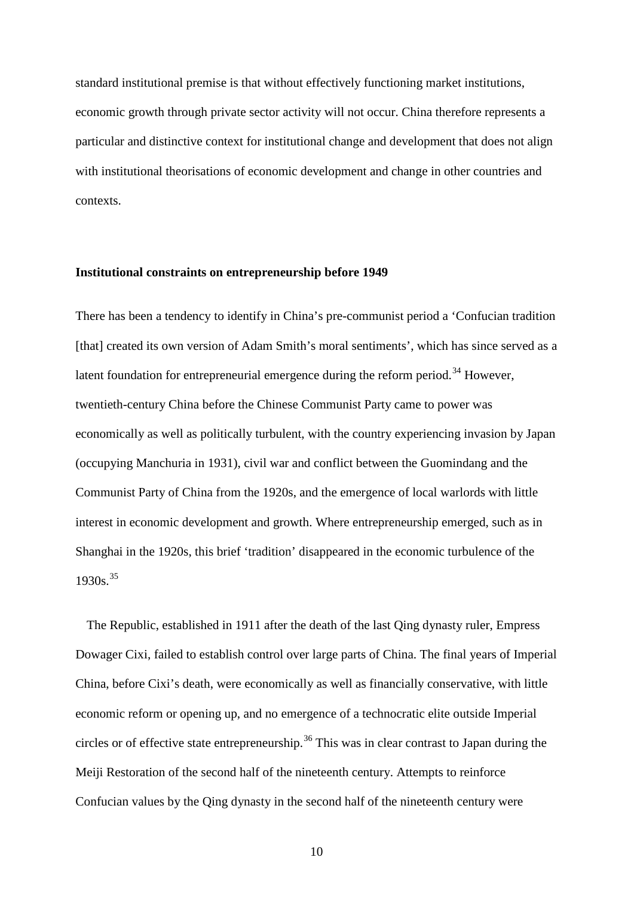standard institutional premise is that without effectively functioning market institutions, economic growth through private sector activity will not occur. China therefore represents a particular and distinctive context for institutional change and development that does not align with institutional theorisations of economic development and change in other countries and contexts.

## **Institutional constraints on entrepreneurship before 1949**

There has been a tendency to identify in China's pre-communist period a 'Confucian tradition [that] created its own version of Adam Smith's moral sentiments', which has since served as a latent foundation for entrepreneurial emergence during the reform period.<sup>[34](#page-56-0)</sup> However, twentieth-century China before the Chinese Communist Party came to power was economically as well as politically turbulent, with the country experiencing invasion by Japan (occupying Manchuria in 1931), civil war and conflict between the Guomindang and the Communist Party of China from the 1920s, and the emergence of local warlords with little interest in economic development and growth. Where entrepreneurship emerged, such as in Shanghai in the 1920s, this brief 'tradition' disappeared in the economic turbulence of the  $1930s.<sup>35</sup>$  $1930s.<sup>35</sup>$  $1930s.<sup>35</sup>$ 

The Republic, established in 1911 after the death of the last Qing dynasty ruler, Empress Dowager Cixi, failed to establish control over large parts of China. The final years of Imperial China, before Cixi's death, were economically as well as financially conservative, with little economic reform or opening up, and no emergence of a technocratic elite outside Imperial circles or of effective state entrepreneurship.<sup>[36](#page-56-2)</sup> This was in clear contrast to Japan during the Meiji Restoration of the second half of the nineteenth century. Attempts to reinforce Confucian values by the Qing dynasty in the second half of the nineteenth century were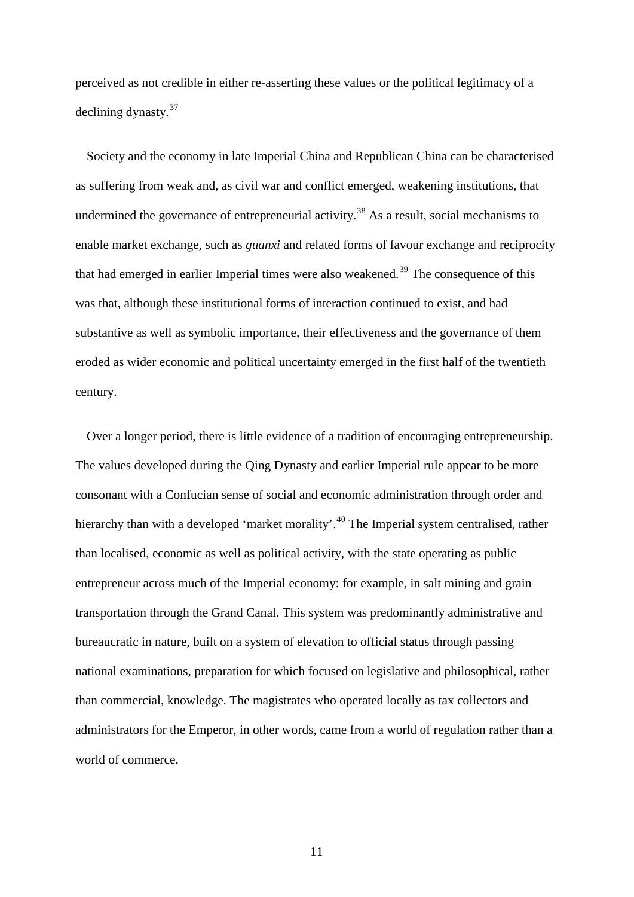perceived as not credible in either re-asserting these values or the political legitimacy of a declining dynasty.[37](#page-56-3)

Society and the economy in late Imperial China and Republican China can be characterised as suffering from weak and, as civil war and conflict emerged, weakening institutions, that undermined the governance of entrepreneurial activity.<sup>[38](#page-56-4)</sup> As a result, social mechanisms to enable market exchange, such as *guanxi* and related forms of favour exchange and reciprocity that had emerged in earlier Imperial times were also weakened.<sup>[39](#page-56-5)</sup> The consequence of this was that, although these institutional forms of interaction continued to exist, and had substantive as well as symbolic importance, their effectiveness and the governance of them eroded as wider economic and political uncertainty emerged in the first half of the twentieth century.

Over a longer period, there is little evidence of a tradition of encouraging entrepreneurship. The values developed during the Qing Dynasty and earlier Imperial rule appear to be more consonant with a Confucian sense of social and economic administration through order and hierarchy than with a developed 'market morality'.<sup>[40](#page-56-6)</sup> The Imperial system centralised, rather than localised, economic as well as political activity, with the state operating as public entrepreneur across much of the Imperial economy: for example, in salt mining and grain transportation through the Grand Canal. This system was predominantly administrative and bureaucratic in nature, built on a system of elevation to official status through passing national examinations, preparation for which focused on legislative and philosophical, rather than commercial, knowledge. The magistrates who operated locally as tax collectors and administrators for the Emperor, in other words, came from a world of regulation rather than a world of commerce.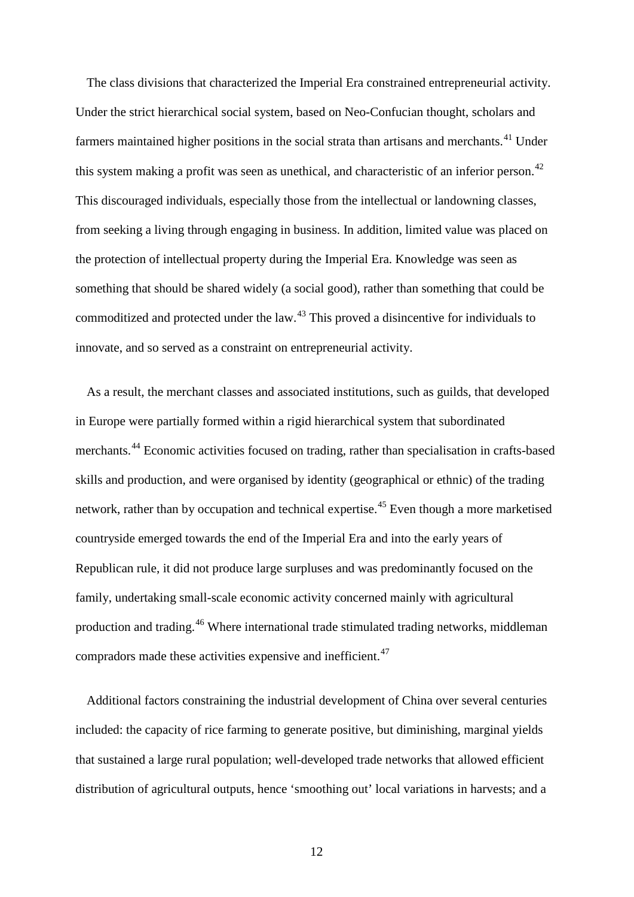The class divisions that characterized the Imperial Era constrained entrepreneurial activity. Under the strict hierarchical social system, based on Neo-Confucian thought, scholars and farmers maintained higher positions in the social strata than artisans and merchants.<sup>[41](#page-56-7)</sup> Under this system making a profit was seen as unethical, and characteristic of an inferior person.<sup>[42](#page-56-8)</sup> This discouraged individuals, especially those from the intellectual or landowning classes, from seeking a living through engaging in business. In addition, limited value was placed on the protection of intellectual property during the Imperial Era. Knowledge was seen as something that should be shared widely (a social good), rather than something that could be commoditized and protected under the law.[43](#page-56-9) This proved a disincentive for individuals to innovate, and so served as a constraint on entrepreneurial activity.

As a result, the merchant classes and associated institutions, such as guilds, that developed in Europe were partially formed within a rigid hierarchical system that subordinated merchants.[44](#page-56-10) Economic activities focused on trading, rather than specialisation in crafts-based skills and production, and were organised by identity (geographical or ethnic) of the trading network, rather than by occupation and technical expertise.<sup>[45](#page-56-11)</sup> Even though a more marketised countryside emerged towards the end of the Imperial Era and into the early years of Republican rule, it did not produce large surpluses and was predominantly focused on the family, undertaking small-scale economic activity concerned mainly with agricultural production and trading.[46](#page-56-12) Where international trade stimulated trading networks, middleman compradors made these activities expensive and inefficient.<sup>[47](#page-56-13)</sup>

Additional factors constraining the industrial development of China over several centuries included: the capacity of rice farming to generate positive, but diminishing, marginal yields that sustained a large rural population; well-developed trade networks that allowed efficient distribution of agricultural outputs, hence 'smoothing out' local variations in harvests; and a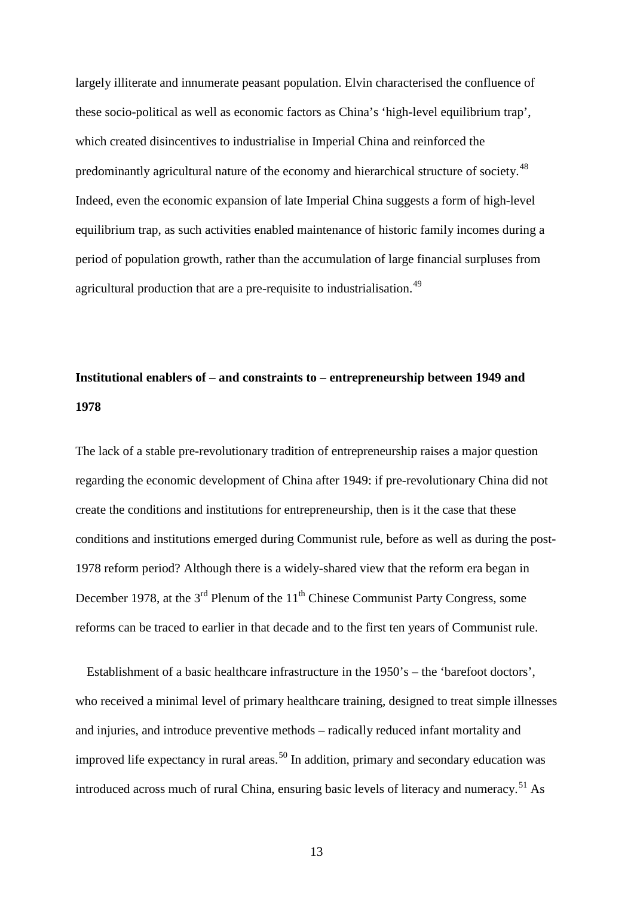largely illiterate and innumerate peasant population. Elvin characterised the confluence of these socio-political as well as economic factors as China's 'high-level equilibrium trap', which created disincentives to industrialise in Imperial China and reinforced the predominantly agricultural nature of the economy and hierarchical structure of society.<sup>[48](#page-56-14)</sup> Indeed, even the economic expansion of late Imperial China suggests a form of high-level equilibrium trap, as such activities enabled maintenance of historic family incomes during a period of population growth, rather than the accumulation of large financial surpluses from agricultural production that are a pre-requisite to industrialisation.<sup>[49](#page-56-15)</sup>

# **Institutional enablers of – and constraints to – entrepreneurship between 1949 and 1978**

The lack of a stable pre-revolutionary tradition of entrepreneurship raises a major question regarding the economic development of China after 1949: if pre-revolutionary China did not create the conditions and institutions for entrepreneurship, then is it the case that these conditions and institutions emerged during Communist rule, before as well as during the post-1978 reform period? Although there is a widely-shared view that the reform era began in December 1978, at the  $3<sup>rd</sup>$  Plenum of the  $11<sup>th</sup>$  Chinese Communist Party Congress, some reforms can be traced to earlier in that decade and to the first ten years of Communist rule.

Establishment of a basic healthcare infrastructure in the 1950's – the 'barefoot doctors', who received a minimal level of primary healthcare training, designed to treat simple illnesses and injuries, and introduce preventive methods – radically reduced infant mortality and improved life expectancy in rural areas.<sup>[50](#page-56-16)</sup> In addition, primary and secondary education was introduced across much of rural China, ensuring basic levels of literacy and numeracy.<sup>[51](#page-56-17)</sup> As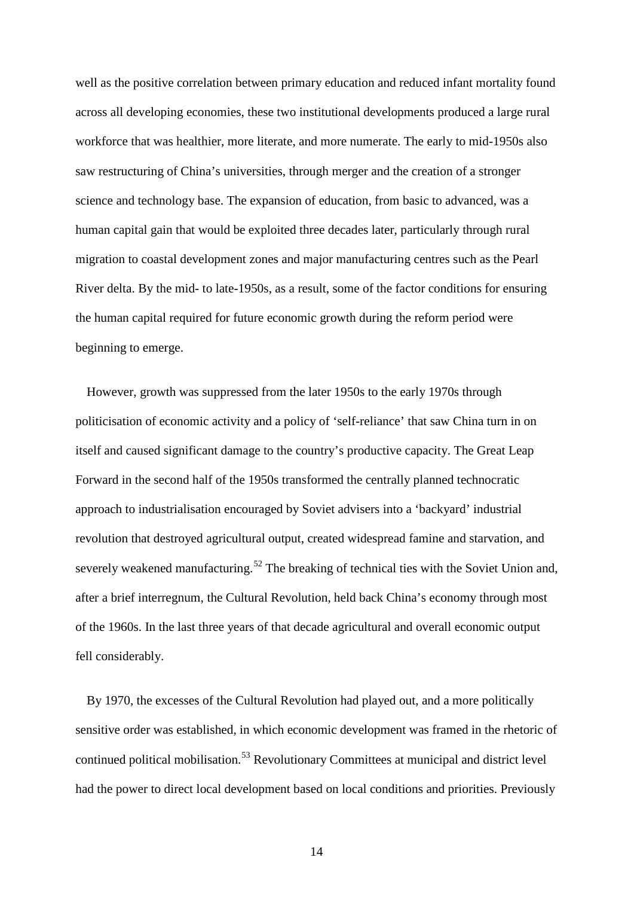well as the positive correlation between primary education and reduced infant mortality found across all developing economies, these two institutional developments produced a large rural workforce that was healthier, more literate, and more numerate. The early to mid-1950s also saw restructuring of China's universities, through merger and the creation of a stronger science and technology base. The expansion of education, from basic to advanced, was a human capital gain that would be exploited three decades later, particularly through rural migration to coastal development zones and major manufacturing centres such as the Pearl River delta. By the mid- to late-1950s, as a result, some of the factor conditions for ensuring the human capital required for future economic growth during the reform period were beginning to emerge.

However, growth was suppressed from the later 1950s to the early 1970s through politicisation of economic activity and a policy of 'self-reliance' that saw China turn in on itself and caused significant damage to the country's productive capacity. The Great Leap Forward in the second half of the 1950s transformed the centrally planned technocratic approach to industrialisation encouraged by Soviet advisers into a 'backyard' industrial revolution that destroyed agricultural output, created widespread famine and starvation, and severely weakened manufacturing.<sup>[52](#page-56-0)</sup> The breaking of technical ties with the Soviet Union and, after a brief interregnum, the Cultural Revolution, held back China's economy through most of the 1960s. In the last three years of that decade agricultural and overall economic output fell considerably.

By 1970, the excesses of the Cultural Revolution had played out, and a more politically sensitive order was established, in which economic development was framed in the rhetoric of continued political mobilisation.<sup>[53](#page-56-1)</sup> Revolutionary Committees at municipal and district level had the power to direct local development based on local conditions and priorities. Previously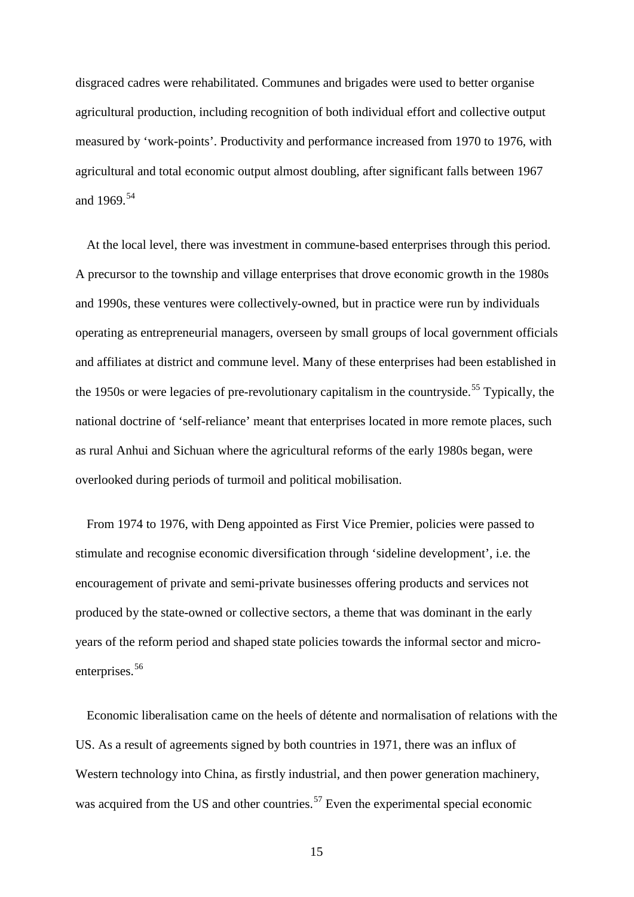disgraced cadres were rehabilitated. Communes and brigades were used to better organise agricultural production, including recognition of both individual effort and collective output measured by 'work-points'. Productivity and performance increased from 1970 to 1976, with agricultural and total economic output almost doubling, after significant falls between 1967 and 1969.<sup>[54](#page-56-2)</sup>

At the local level, there was investment in commune-based enterprises through this period. A precursor to the township and village enterprises that drove economic growth in the 1980s and 1990s, these ventures were collectively-owned, but in practice were run by individuals operating as entrepreneurial managers, overseen by small groups of local government officials and affiliates at district and commune level. Many of these enterprises had been established in the 1950s or were legacies of pre-revolutionary capitalism in the countryside.<sup>[55](#page-56-3)</sup> Typically, the national doctrine of 'self-reliance' meant that enterprises located in more remote places, such as rural Anhui and Sichuan where the agricultural reforms of the early 1980s began, were overlooked during periods of turmoil and political mobilisation.

From 1974 to 1976, with Deng appointed as First Vice Premier, policies were passed to stimulate and recognise economic diversification through 'sideline development', i.e. the encouragement of private and semi-private businesses offering products and services not produced by the state-owned or collective sectors, a theme that was dominant in the early years of the reform period and shaped state policies towards the informal sector and micro-enterprises.<sup>[56](#page-56-18)</sup>

Economic liberalisation came on the heels of détente and normalisation of relations with the US. As a result of agreements signed by both countries in 1971, there was an influx of Western technology into China, as firstly industrial, and then power generation machinery, was acquired from the US and other countries.<sup>[57](#page-56-5)</sup> Even the experimental special economic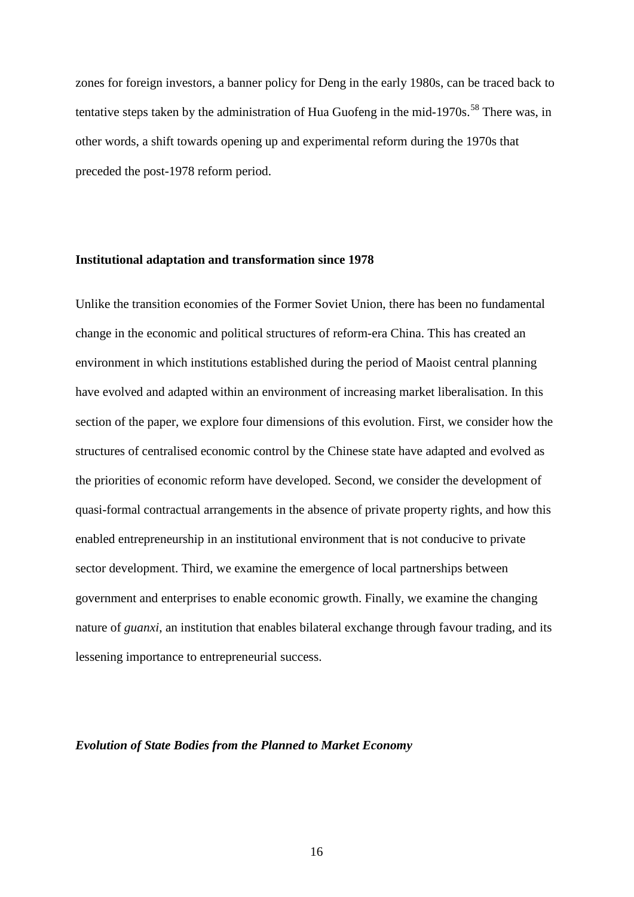zones for foreign investors, a banner policy for Deng in the early 1980s, can be traced back to tentative steps taken by the administration of Hua Guofeng in the mid-1970s.<sup>[58](#page-56-19)</sup> There was, in other words, a shift towards opening up and experimental reform during the 1970s that preceded the post-1978 reform period.

## **Institutional adaptation and transformation since 1978**

Unlike the transition economies of the Former Soviet Union, there has been no fundamental change in the economic and political structures of reform-era China. This has created an environment in which institutions established during the period of Maoist central planning have evolved and adapted within an environment of increasing market liberalisation. In this section of the paper, we explore four dimensions of this evolution. First, we consider how the structures of centralised economic control by the Chinese state have adapted and evolved as the priorities of economic reform have developed. Second, we consider the development of quasi-formal contractual arrangements in the absence of private property rights, and how this enabled entrepreneurship in an institutional environment that is not conducive to private sector development. Third, we examine the emergence of local partnerships between government and enterprises to enable economic growth. Finally, we examine the changing nature of *guanxi*, an institution that enables bilateral exchange through favour trading, and its lessening importance to entrepreneurial success.

#### *Evolution of State Bodies from the Planned to Market Economy*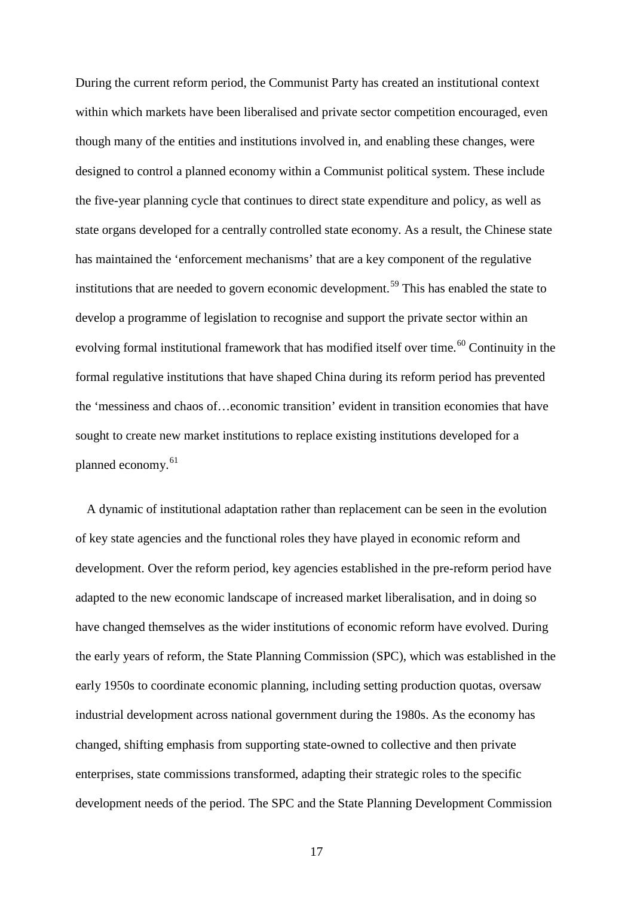During the current reform period, the Communist Party has created an institutional context within which markets have been liberalised and private sector competition encouraged, even though many of the entities and institutions involved in, and enabling these changes, were designed to control a planned economy within a Communist political system. These include the five-year planning cycle that continues to direct state expenditure and policy, as well as state organs developed for a centrally controlled state economy. As a result, the Chinese state has maintained the 'enforcement mechanisms' that are a key component of the regulative institutions that are needed to govern economic development. [59](#page-56-6) This has enabled the state to develop a programme of legislation to recognise and support the private sector within an evolving formal institutional framework that has modified itself over time.<sup>[60](#page-56-8)</sup> Continuity in the formal regulative institutions that have shaped China during its reform period has prevented the 'messiness and chaos of…economic transition' evident in transition economies that have sought to create new market institutions to replace existing institutions developed for a planned economy.<sup>[61](#page-56-9)</sup>

A dynamic of institutional adaptation rather than replacement can be seen in the evolution of key state agencies and the functional roles they have played in economic reform and development. Over the reform period, key agencies established in the pre-reform period have adapted to the new economic landscape of increased market liberalisation, and in doing so have changed themselves as the wider institutions of economic reform have evolved. During the early years of reform, the State Planning Commission (SPC), which was established in the early 1950s to coordinate economic planning, including setting production quotas, oversaw industrial development across national government during the 1980s. As the economy has changed, shifting emphasis from supporting state-owned to collective and then private enterprises, state commissions transformed, adapting their strategic roles to the specific development needs of the period. The SPC and the State Planning Development Commission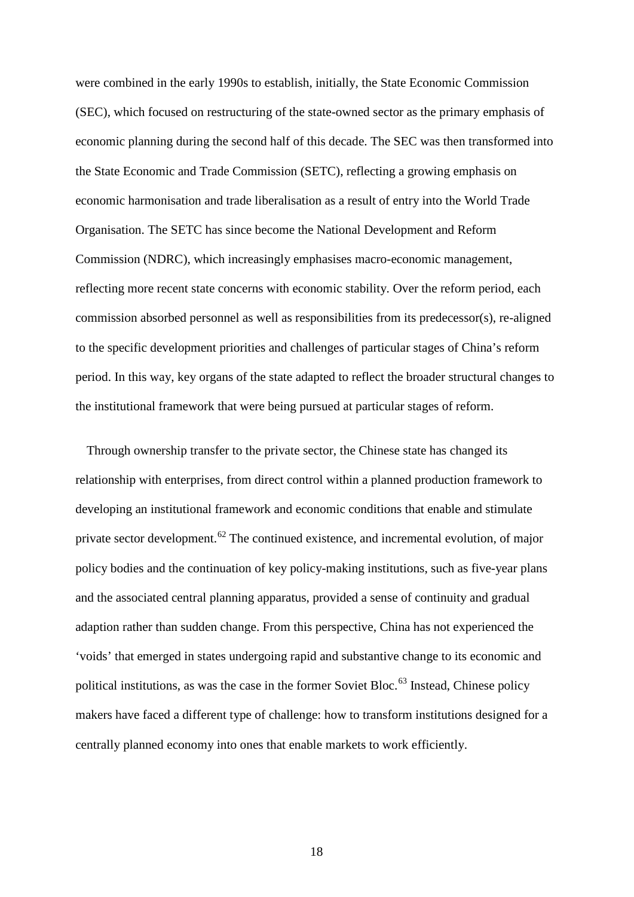were combined in the early 1990s to establish, initially, the State Economic Commission (SEC), which focused on restructuring of the state-owned sector as the primary emphasis of economic planning during the second half of this decade. The SEC was then transformed into the State Economic and Trade Commission (SETC), reflecting a growing emphasis on economic harmonisation and trade liberalisation as a result of entry into the World Trade Organisation. The SETC has since become the National Development and Reform Commission (NDRC), which increasingly emphasises macro-economic management, reflecting more recent state concerns with economic stability. Over the reform period, each commission absorbed personnel as well as responsibilities from its predecessor(s), re-aligned to the specific development priorities and challenges of particular stages of China's reform period. In this way, key organs of the state adapted to reflect the broader structural changes to the institutional framework that were being pursued at particular stages of reform.

Through ownership transfer to the private sector, the Chinese state has changed its relationship with enterprises, from direct control within a planned production framework to developing an institutional framework and economic conditions that enable and stimulate private sector development.[62](#page-56-10) The continued existence, and incremental evolution, of major policy bodies and the continuation of key policy-making institutions, such as five-year plans and the associated central planning apparatus, provided a sense of continuity and gradual adaption rather than sudden change. From this perspective, China has not experienced the 'voids' that emerged in states undergoing rapid and substantive change to its economic and political institutions, as was the case in the former Soviet Bloc.<sup>[63](#page-56-12)</sup> Instead, Chinese policy makers have faced a different type of challenge: how to transform institutions designed for a centrally planned economy into ones that enable markets to work efficiently.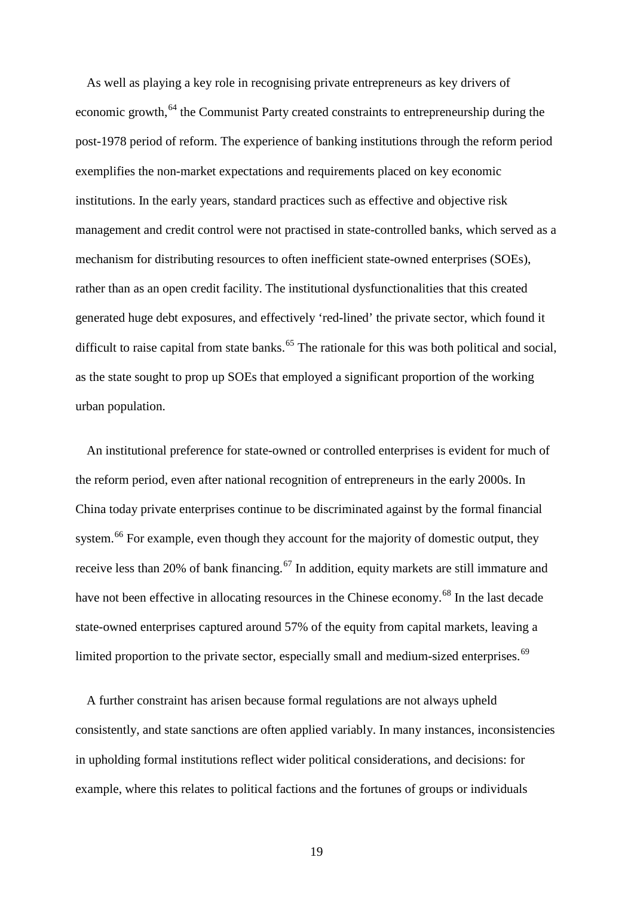As well as playing a key role in recognising private entrepreneurs as key drivers of economic growth,<sup>[64](#page-56-20)</sup> the Communist Party created constraints to entrepreneurship during the post-1978 period of reform. The experience of banking institutions through the reform period exemplifies the non-market expectations and requirements placed on key economic institutions. In the early years, standard practices such as effective and objective risk management and credit control were not practised in state-controlled banks, which served as a mechanism for distributing resources to often inefficient state-owned enterprises (SOEs), rather than as an open credit facility. The institutional dysfunctionalities that this created generated huge debt exposures, and effectively 'red-lined' the private sector, which found it difficult to raise capital from state banks.<sup>[65](#page-56-13)</sup> The rationale for this was both political and social, as the state sought to prop up SOEs that employed a significant proportion of the working urban population.

An institutional preference for state-owned or controlled enterprises is evident for much of the reform period, even after national recognition of entrepreneurs in the early 2000s. In China today private enterprises continue to be discriminated against by the formal financial system.<sup>[66](#page-56-21)</sup> For example, even though they account for the majority of domestic output, they receive less than 20% of bank financing.<sup>[67](#page-56-15)</sup> In addition, equity markets are still immature and have not been effective in allocating resources in the Chinese economy.<sup>[68](#page-56-22)</sup> In the last decade state-owned enterprises captured around 57% of the equity from capital markets, leaving a limited proportion to the private sector, especially small and medium-sized enterprises.<sup>[69](#page-56-16)</sup>

A further constraint has arisen because formal regulations are not always upheld consistently, and state sanctions are often applied variably. In many instances, inconsistencies in upholding formal institutions reflect wider political considerations, and decisions: for example, where this relates to political factions and the fortunes of groups or individuals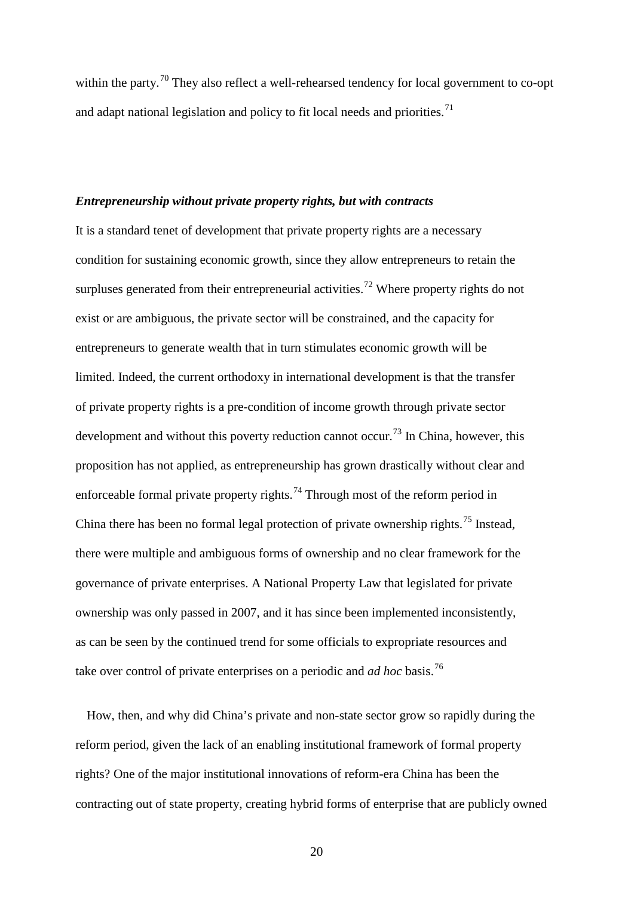within the party.<sup>[70](#page-56-23)</sup> They also reflect a well-rehearsed tendency for local government to co-opt and adapt national legislation and policy to fit local needs and priorities.<sup>[71](#page-56-0)</sup>

## *Entrepreneurship without private property rights, but with contracts*

It is a standard tenet of development that private property rights are a necessary condition for sustaining economic growth, since they allow entrepreneurs to retain the surpluses generated from their entrepreneurial activities.<sup>[72](#page-56-6)</sup> Where property rights do not exist or are ambiguous, the private sector will be constrained, and the capacity for entrepreneurs to generate wealth that in turn stimulates economic growth will be limited. Indeed, the current orthodoxy in international development is that the transfer of private property rights is a pre-condition of income growth through private sector development and without this poverty reduction cannot occur.<sup>[73](#page-56-24)</sup> In China, however, this proposition has not applied, as entrepreneurship has grown drastically without clear and enforceable formal private property rights.<sup>[74](#page-56-25)</sup> Through most of the reform period in China there has been no formal legal protection of private ownership rights.<sup>[75](#page-56-10)</sup> Instead, there were multiple and ambiguous forms of ownership and no clear framework for the governance of private enterprises. A National Property Law that legislated for private ownership was only passed in 2007, and it has since been implemented inconsistently, as can be seen by the continued trend for some officials to expropriate resources and take over control of private enterprises on a periodic and *ad hoc* basis.[76](#page-56-11)

How, then, and why did China's private and non-state sector grow so rapidly during the reform period, given the lack of an enabling institutional framework of formal property rights? One of the major institutional innovations of reform-era China has been the contracting out of state property, creating hybrid forms of enterprise that are publicly owned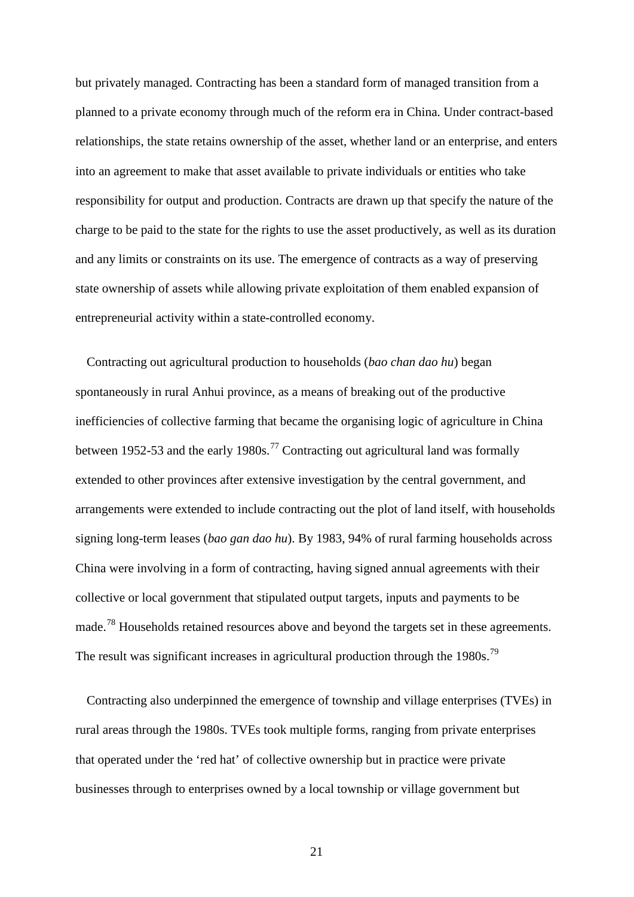but privately managed. Contracting has been a standard form of managed transition from a planned to a private economy through much of the reform era in China. Under contract-based relationships, the state retains ownership of the asset, whether land or an enterprise, and enters into an agreement to make that asset available to private individuals or entities who take responsibility for output and production. Contracts are drawn up that specify the nature of the charge to be paid to the state for the rights to use the asset productively, as well as its duration and any limits or constraints on its use. The emergence of contracts as a way of preserving state ownership of assets while allowing private exploitation of them enabled expansion of entrepreneurial activity within a state-controlled economy.

Contracting out agricultural production to households (*bao chan dao hu*) began spontaneously in rural Anhui province, as a means of breaking out of the productive inefficiencies of collective farming that became the organising logic of agriculture in China between 1952-53 and the early 1980s.<sup>[77](#page-56-14)</sup> Contracting out agricultural land was formally extended to other provinces after extensive investigation by the central government, and arrangements were extended to include contracting out the plot of land itself, with households signing long-term leases (*bao gan dao hu*). By 1983, 94% of rural farming households across China were involving in a form of contracting, having signed annual agreements with their collective or local government that stipulated output targets, inputs and payments to be made.<sup>[78](#page-56-15)</sup> Households retained resources above and beyond the targets set in these agreements. The result was significant increases in agricultural production through the 1980s.<sup>[79](#page-56-26)</sup>

Contracting also underpinned the emergence of township and village enterprises (TVEs) in rural areas through the 1980s. TVEs took multiple forms, ranging from private enterprises that operated under the 'red hat' of collective ownership but in practice were private businesses through to enterprises owned by a local township or village government but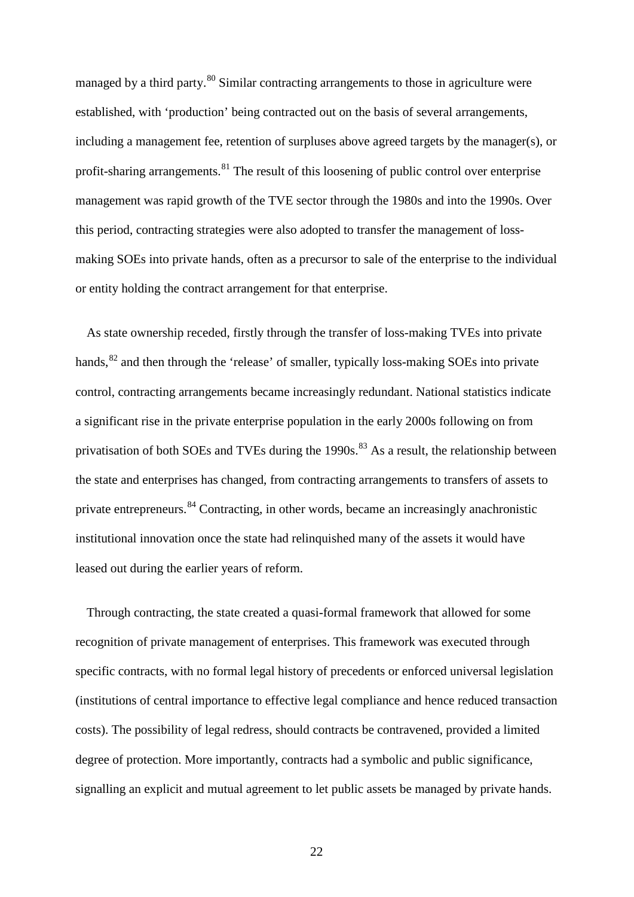managed by a third party.<sup>[80](#page-56-22)</sup> Similar contracting arrangements to those in agriculture were established, with 'production' being contracted out on the basis of several arrangements, including a management fee, retention of surpluses above agreed targets by the manager(s), or profit-sharing arrangements. $81$  The result of this loosening of public control over enterprise management was rapid growth of the TVE sector through the 1980s and into the 1990s. Over this period, contracting strategies were also adopted to transfer the management of lossmaking SOEs into private hands, often as a precursor to sale of the enterprise to the individual or entity holding the contract arrangement for that enterprise.

As state ownership receded, firstly through the transfer of loss-making TVEs into private hands, <sup>[82](#page-56-0)</sup> and then through the 'release' of smaller, typically loss-making SOEs into private control, contracting arrangements became increasingly redundant. National statistics indicate a significant rise in the private enterprise population in the early 2000s following on from privatisation of both SOEs and TVEs during the 1990s.<sup>[83](#page-56-1)</sup> As a result, the relationship between the state and enterprises has changed, from contracting arrangements to transfers of assets to private entrepreneurs.<sup>[84](#page-56-3)</sup> Contracting, in other words, became an increasingly anachronistic institutional innovation once the state had relinquished many of the assets it would have leased out during the earlier years of reform.

Through contracting, the state created a quasi-formal framework that allowed for some recognition of private management of enterprises. This framework was executed through specific contracts, with no formal legal history of precedents or enforced universal legislation (institutions of central importance to effective legal compliance and hence reduced transaction costs). The possibility of legal redress, should contracts be contravened, provided a limited degree of protection. More importantly, contracts had a symbolic and public significance, signalling an explicit and mutual agreement to let public assets be managed by private hands.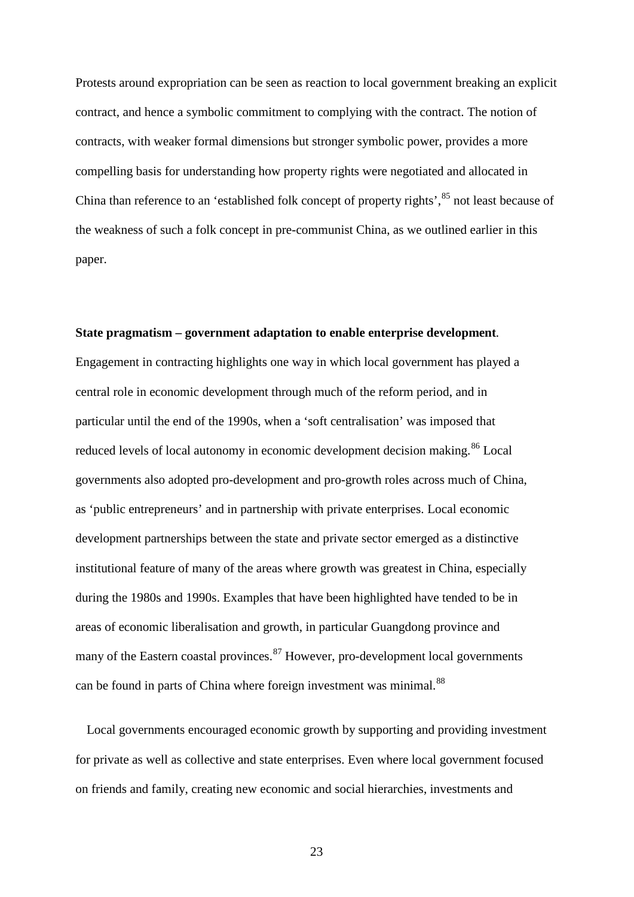Protests around expropriation can be seen as reaction to local government breaking an explicit contract, and hence a symbolic commitment to complying with the contract. The notion of contracts, with weaker formal dimensions but stronger symbolic power, provides a more compelling basis for understanding how property rights were negotiated and allocated in China than reference to an 'established folk concept of property rights', <sup>[85](#page-56-4)</sup> not least because of the weakness of such a folk concept in pre-communist China, as we outlined earlier in this paper.

#### **State pragmatism – government adaptation to enable enterprise development***.*

Engagement in contracting highlights one way in which local government has played a central role in economic development through much of the reform period, and in particular until the end of the 1990s, when a 'soft centralisation' was imposed that reduced levels of local autonomy in economic development decision making.<sup>[86](#page-56-18)</sup> Local governments also adopted pro-development and pro-growth roles across much of China, as 'public entrepreneurs' and in partnership with private enterprises. Local economic development partnerships between the state and private sector emerged as a distinctive institutional feature of many of the areas where growth was greatest in China, especially during the 1980s and 1990s. Examples that have been highlighted have tended to be in areas of economic liberalisation and growth, in particular Guangdong province and many of the Eastern coastal provinces.  $87$  However, pro-development local governments can be found in parts of China where foreign investment was minimal.<sup>[88](#page-56-19)</sup>

Local governments encouraged economic growth by supporting and providing investment for private as well as collective and state enterprises. Even where local government focused on friends and family, creating new economic and social hierarchies, investments and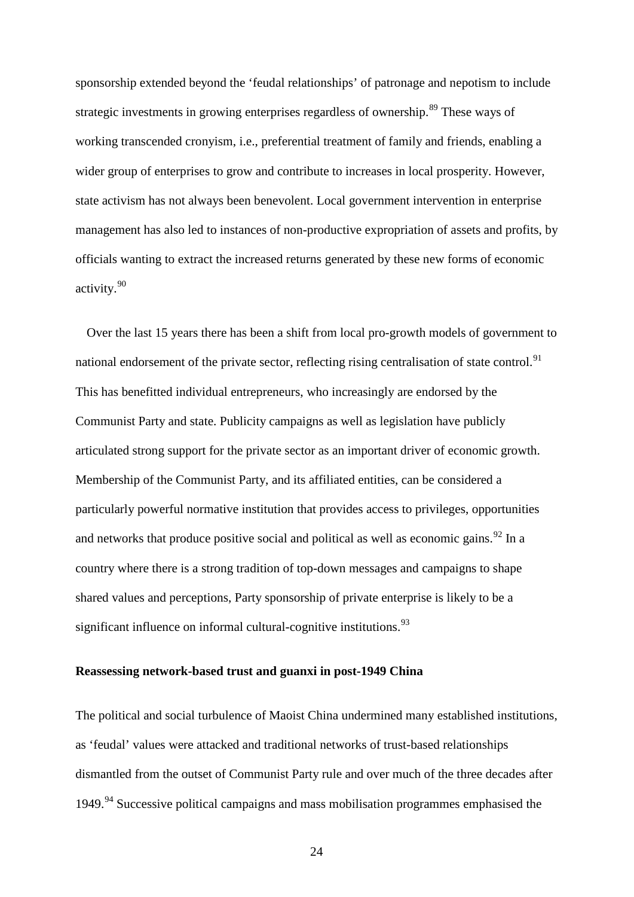sponsorship extended beyond the 'feudal relationships' of patronage and nepotism to include strategic investments in growing enterprises regardless of ownership.<sup>[89](#page-56-8)</sup> These ways of working transcended cronyism, i.e., preferential treatment of family and friends, enabling a wider group of enterprises to grow and contribute to increases in local prosperity. However, state activism has not always been benevolent. Local government intervention in enterprise management has also led to instances of non-productive expropriation of assets and profits, by officials wanting to extract the increased returns generated by these new forms of economic activity.[90](#page-56-24)

Over the last 15 years there has been a shift from local pro-growth models of government to national endorsement of the private sector, reflecting rising centralisation of state control.<sup>[91](#page-56-9)</sup> This has benefitted individual entrepreneurs, who increasingly are endorsed by the Communist Party and state. Publicity campaigns as well as legislation have publicly articulated strong support for the private sector as an important driver of economic growth. Membership of the Communist Party, and its affiliated entities, can be considered a particularly powerful normative institution that provides access to privileges, opportunities and networks that produce positive social and political as well as economic gains.  $92 \text{ In a}$  $92 \text{ In a}$ country where there is a strong tradition of top-down messages and campaigns to shape shared values and perceptions, Party sponsorship of private enterprise is likely to be a significant influence on informal cultural-cognitive institutions.<sup>[93](#page-56-13)</sup>

## **Reassessing network-based trust and guanxi in post-1949 China**

The political and social turbulence of Maoist China undermined many established institutions, as 'feudal' values were attacked and traditional networks of trust-based relationships dismantled from the outset of Communist Party rule and over much of the three decades after 1[94](#page-56-21)9.<sup>94</sup> Successive political campaigns and mass mobilisation programmes emphasised the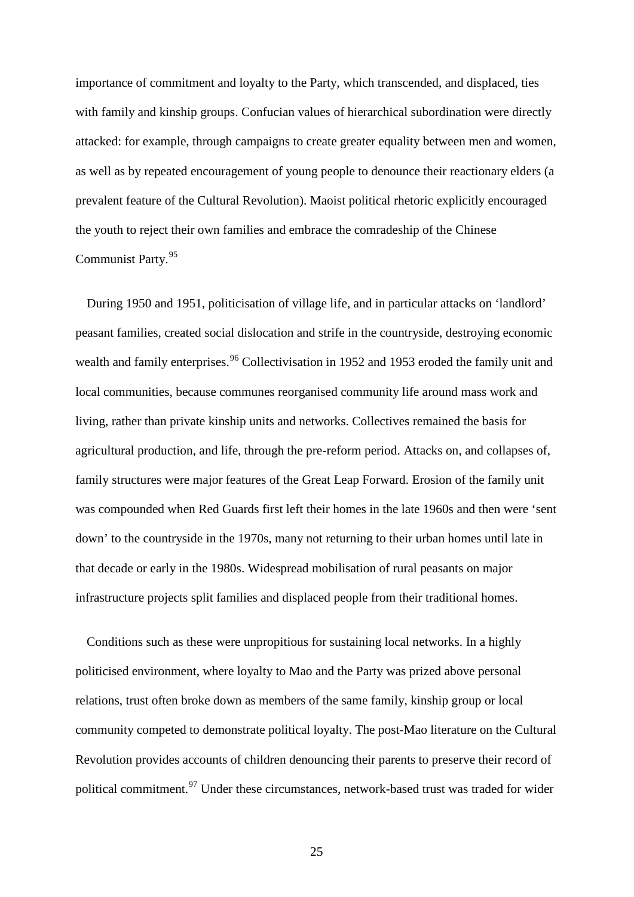importance of commitment and loyalty to the Party, which transcended, and displaced, ties with family and kinship groups. Confucian values of hierarchical subordination were directly attacked: for example, through campaigns to create greater equality between men and women, as well as by repeated encouragement of young people to denounce their reactionary elders (a prevalent feature of the Cultural Revolution). Maoist political rhetoric explicitly encouraged the youth to reject their own families and embrace the comradeship of the Chinese Communist Party.[95](#page-56-15)

During 1950 and 1951, politicisation of village life, and in particular attacks on 'landlord' peasant families, created social dislocation and strife in the countryside, destroying economic wealth and family enterprises.<sup>[96](#page-56-26)</sup> Collectivisation in 1952 and 1953 eroded the family unit and local communities, because communes reorganised community life around mass work and living, rather than private kinship units and networks. Collectives remained the basis for agricultural production, and life, through the pre-reform period. Attacks on, and collapses of, family structures were major features of the Great Leap Forward. Erosion of the family unit was compounded when Red Guards first left their homes in the late 1960s and then were 'sent down' to the countryside in the 1970s, many not returning to their urban homes until late in that decade or early in the 1980s. Widespread mobilisation of rural peasants on major infrastructure projects split families and displaced people from their traditional homes.

Conditions such as these were unpropitious for sustaining local networks. In a highly politicised environment, where loyalty to Mao and the Party was prized above personal relations, trust often broke down as members of the same family, kinship group or local community competed to demonstrate political loyalty. The post-Mao literature on the Cultural Revolution provides accounts of children denouncing their parents to preserve their record of political commitment.<sup>[97](#page-56-22)</sup> Under these circumstances, network-based trust was traded for wider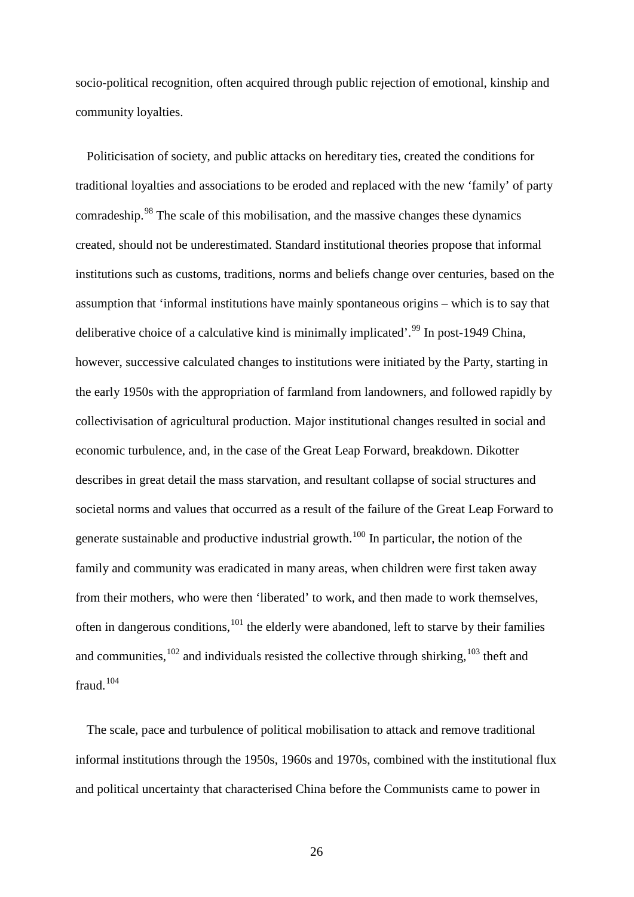socio-political recognition, often acquired through public rejection of emotional, kinship and community loyalties.

Politicisation of society, and public attacks on hereditary ties, created the conditions for traditional loyalties and associations to be eroded and replaced with the new 'family' of party comradeship.[98](#page-56-16) The scale of this mobilisation, and the massive changes these dynamics created, should not be underestimated. Standard institutional theories propose that informal institutions such as customs, traditions, norms and beliefs change over centuries, based on the assumption that 'informal institutions have mainly spontaneous origins – which is to say that deliberative choice of a calculative kind is minimally implicated'.<sup>[99](#page-56-17)</sup> In post-1949 China, however, successive calculated changes to institutions were initiated by the Party, starting in the early 1950s with the appropriation of farmland from landowners, and followed rapidly by collectivisation of agricultural production. Major institutional changes resulted in social and economic turbulence, and, in the case of the Great Leap Forward, breakdown. Dikotter describes in great detail the mass starvation, and resultant collapse of social structures and societal norms and values that occurred as a result of the failure of the Great Leap Forward to generate sustainable and productive industrial growth.<sup>[100](#page-56-23)</sup> In particular, the notion of the family and community was eradicated in many areas, when children were first taken away from their mothers, who were then 'liberated' to work, and then made to work themselves, often in dangerous conditions, <sup>[101](#page-56-0)</sup> the elderly were abandoned, left to starve by their families and communities,  $^{102}$  $^{102}$  $^{102}$  and individuals resisted the collective through shirking,  $^{103}$  $^{103}$  $^{103}$  theft and fraud.<sup>[104](#page-56-3)</sup>

The scale, pace and turbulence of political mobilisation to attack and remove traditional informal institutions through the 1950s, 1960s and 1970s, combined with the institutional flux and political uncertainty that characterised China before the Communists came to power in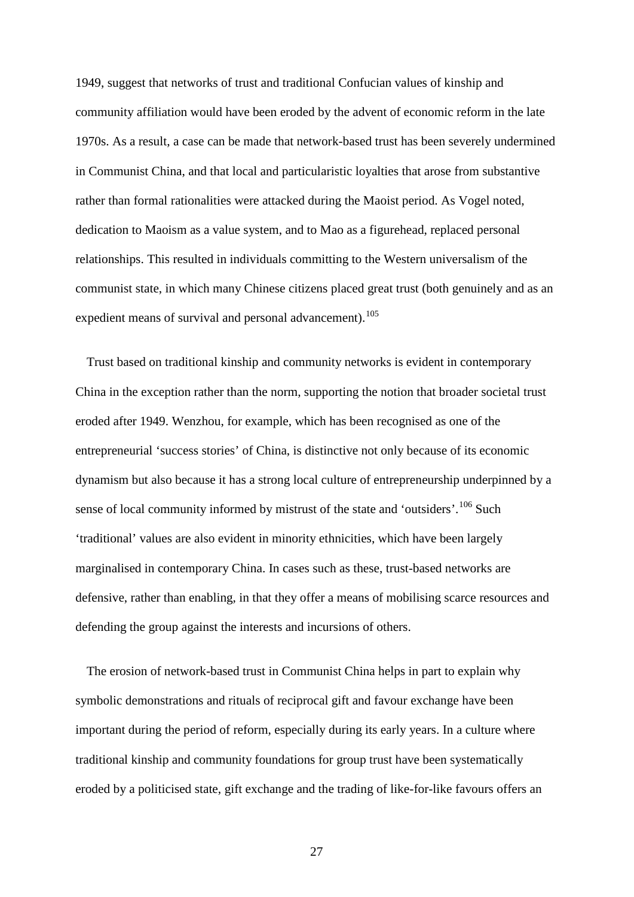1949, suggest that networks of trust and traditional Confucian values of kinship and community affiliation would have been eroded by the advent of economic reform in the late 1970s. As a result, a case can be made that network-based trust has been severely undermined in Communist China, and that local and particularistic loyalties that arose from substantive rather than formal rationalities were attacked during the Maoist period. As Vogel noted, dedication to Maoism as a value system, and to Mao as a figurehead, replaced personal relationships. This resulted in individuals committing to the Western universalism of the communist state, in which many Chinese citizens placed great trust (both genuinely and as an expedient means of survival and personal advancement).<sup>[105](#page-56-4)</sup>

Trust based on traditional kinship and community networks is evident in contemporary China in the exception rather than the norm, supporting the notion that broader societal trust eroded after 1949. Wenzhou, for example, which has been recognised as one of the entrepreneurial 'success stories' of China, is distinctive not only because of its economic dynamism but also because it has a strong local culture of entrepreneurship underpinned by a sense of local community informed by mistrust of the state and 'outsiders'.<sup>[106](#page-56-5)</sup> Such 'traditional' values are also evident in minority ethnicities, which have been largely marginalised in contemporary China. In cases such as these, trust-based networks are defensive, rather than enabling, in that they offer a means of mobilising scarce resources and defending the group against the interests and incursions of others.

The erosion of network-based trust in Communist China helps in part to explain why symbolic demonstrations and rituals of reciprocal gift and favour exchange have been important during the period of reform, especially during its early years. In a culture where traditional kinship and community foundations for group trust have been systematically eroded by a politicised state, gift exchange and the trading of like-for-like favours offers an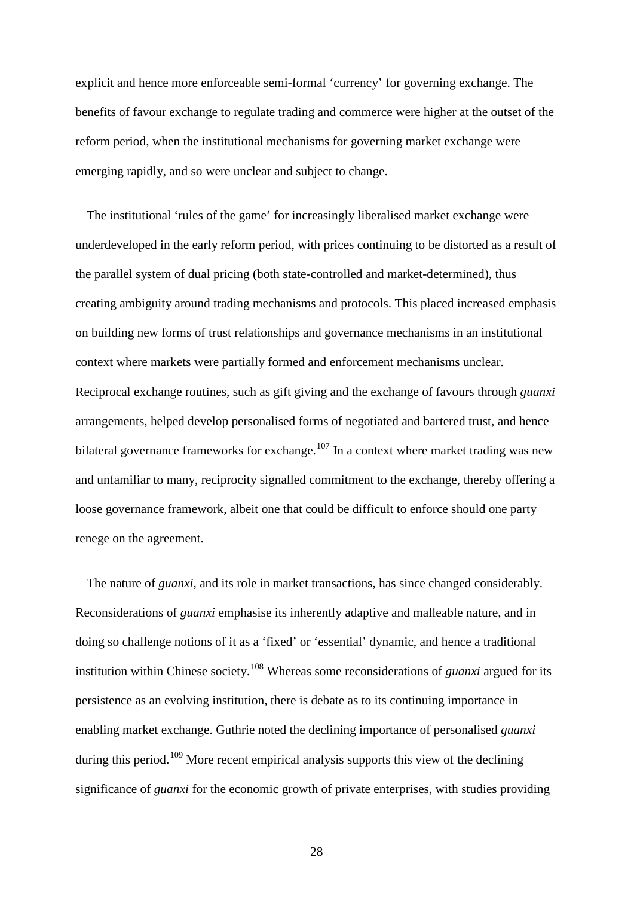explicit and hence more enforceable semi-formal 'currency' for governing exchange. The benefits of favour exchange to regulate trading and commerce were higher at the outset of the reform period, when the institutional mechanisms for governing market exchange were emerging rapidly, and so were unclear and subject to change.

The institutional 'rules of the game' for increasingly liberalised market exchange were underdeveloped in the early reform period, with prices continuing to be distorted as a result of the parallel system of dual pricing (both state-controlled and market-determined), thus creating ambiguity around trading mechanisms and protocols. This placed increased emphasis on building new forms of trust relationships and governance mechanisms in an institutional context where markets were partially formed and enforcement mechanisms unclear. Reciprocal exchange routines, such as gift giving and the exchange of favours through *guanxi* arrangements, helped develop personalised forms of negotiated and bartered trust, and hence bilateral governance frameworks for exchange.<sup>[107](#page-56-6)</sup> In a context where market trading was new and unfamiliar to many, reciprocity signalled commitment to the exchange, thereby offering a loose governance framework, albeit one that could be difficult to enforce should one party renege on the agreement.

The nature of *guanxi*, and its role in market transactions, has since changed considerably. Reconsiderations of *guanxi* emphasise its inherently adaptive and malleable nature, and in doing so challenge notions of it as a 'fixed' or 'essential' dynamic, and hence a traditional institution within Chinese society.[108](#page-56-7) Whereas some reconsiderations of *guanxi* argued for its persistence as an evolving institution, there is debate as to its continuing importance in enabling market exchange. Guthrie noted the declining importance of personalised *guanxi* during this period.<sup>[109](#page-56-24)</sup> More recent empirical analysis supports this view of the declining significance of *guanxi* for the economic growth of private enterprises, with studies providing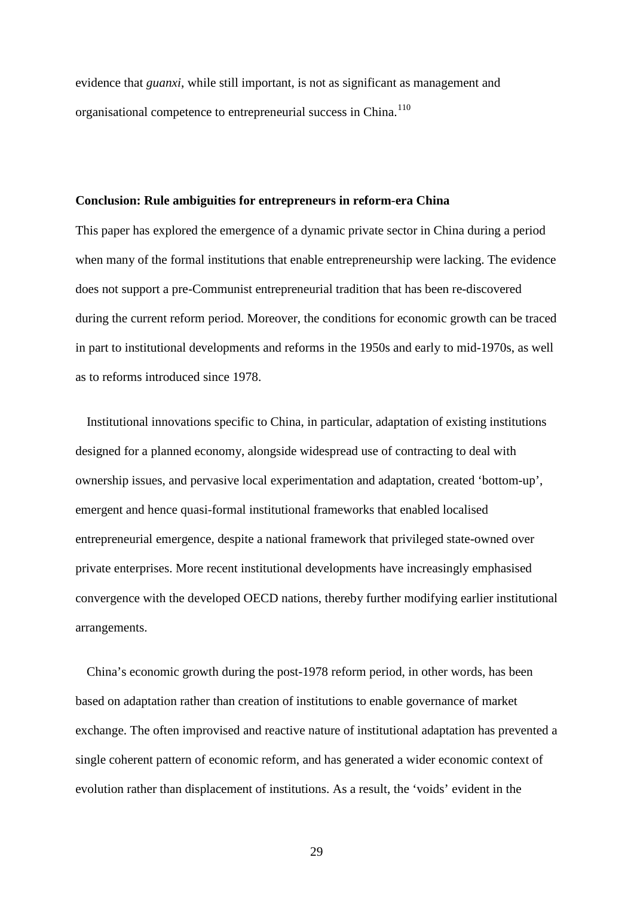evidence that *guanxi*, while still important, is not as significant as management and organisational competence to entrepreneurial success in China.<sup>[110](#page-56-25)</sup>

#### **Conclusion: Rule ambiguities for entrepreneurs in reform**-**era China**

This paper has explored the emergence of a dynamic private sector in China during a period when many of the formal institutions that enable entrepreneurship were lacking. The evidence does not support a pre-Communist entrepreneurial tradition that has been re-discovered during the current reform period. Moreover, the conditions for economic growth can be traced in part to institutional developments and reforms in the 1950s and early to mid-1970s, as well as to reforms introduced since 1978.

Institutional innovations specific to China, in particular, adaptation of existing institutions designed for a planned economy, alongside widespread use of contracting to deal with ownership issues, and pervasive local experimentation and adaptation, created 'bottom-up', emergent and hence quasi-formal institutional frameworks that enabled localised entrepreneurial emergence, despite a national framework that privileged state-owned over private enterprises. More recent institutional developments have increasingly emphasised convergence with the developed OECD nations, thereby further modifying earlier institutional arrangements.

China's economic growth during the post-1978 reform period, in other words, has been based on adaptation rather than creation of institutions to enable governance of market exchange. The often improvised and reactive nature of institutional adaptation has prevented a single coherent pattern of economic reform, and has generated a wider economic context of evolution rather than displacement of institutions. As a result, the 'voids' evident in the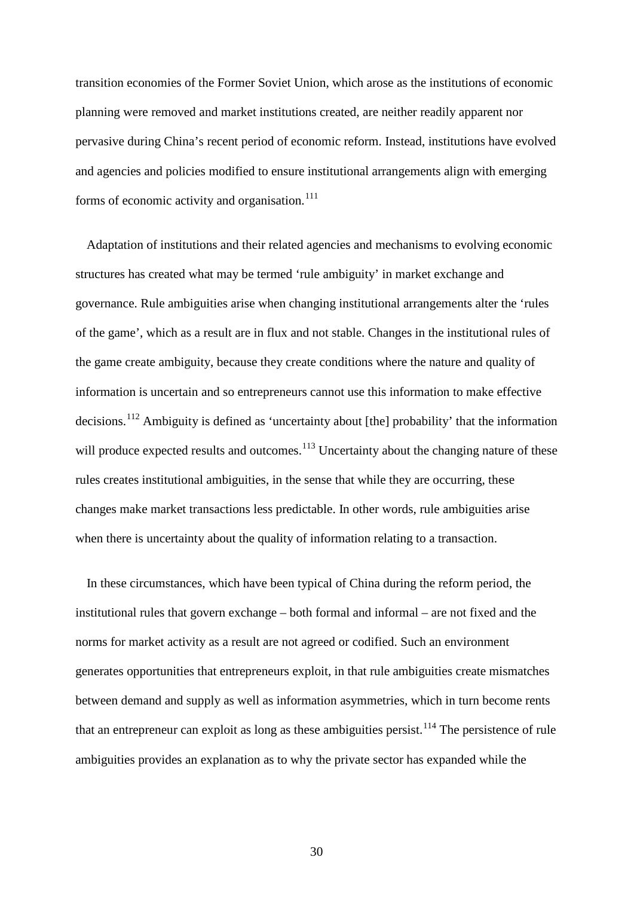transition economies of the Former Soviet Union, which arose as the institutions of economic planning were removed and market institutions created, are neither readily apparent nor pervasive during China's recent period of economic reform. Instead, institutions have evolved and agencies and policies modified to ensure institutional arrangements align with emerging forms of economic activity and organisation.<sup>[111](#page-56-9)</sup>

Adaptation of institutions and their related agencies and mechanisms to evolving economic structures has created what may be termed 'rule ambiguity' in market exchange and governance. Rule ambiguities arise when changing institutional arrangements alter the 'rules of the game', which as a result are in flux and not stable. Changes in the institutional rules of the game create ambiguity, because they create conditions where the nature and quality of information is uncertain and so entrepreneurs cannot use this information to make effective decisions.<sup>[112](#page-56-10)</sup> Ambiguity is defined as 'uncertainty about [the] probability' that the information will produce expected results and outcomes.<sup>[113](#page-56-11)</sup> Uncertainty about the changing nature of these rules creates institutional ambiguities, in the sense that while they are occurring, these changes make market transactions less predictable. In other words, rule ambiguities arise when there is uncertainty about the quality of information relating to a transaction.

In these circumstances, which have been typical of China during the reform period, the institutional rules that govern exchange – both formal and informal – are not fixed and the norms for market activity as a result are not agreed or codified. Such an environment generates opportunities that entrepreneurs exploit, in that rule ambiguities create mismatches between demand and supply as well as information asymmetries, which in turn become rents that an entrepreneur can exploit as long as these ambiguities persist.<sup>[114](#page-56-20)</sup> The persistence of rule ambiguities provides an explanation as to why the private sector has expanded while the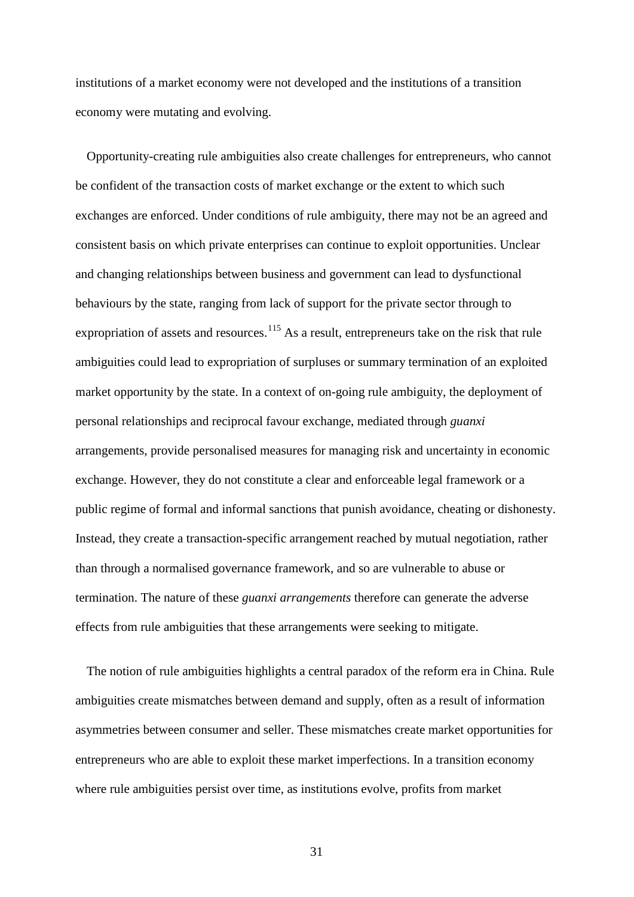institutions of a market economy were not developed and the institutions of a transition economy were mutating and evolving.

Opportunity-creating rule ambiguities also create challenges for entrepreneurs, who cannot be confident of the transaction costs of market exchange or the extent to which such exchanges are enforced. Under conditions of rule ambiguity, there may not be an agreed and consistent basis on which private enterprises can continue to exploit opportunities. Unclear and changing relationships between business and government can lead to dysfunctional behaviours by the state, ranging from lack of support for the private sector through to expropriation of assets and resources.<sup>[115](#page-56-13)</sup> As a result, entrepreneurs take on the risk that rule ambiguities could lead to expropriation of surpluses or summary termination of an exploited market opportunity by the state. In a context of on-going rule ambiguity, the deployment of personal relationships and reciprocal favour exchange, mediated through *guanxi*  arrangements, provide personalised measures for managing risk and uncertainty in economic exchange. However, they do not constitute a clear and enforceable legal framework or a public regime of formal and informal sanctions that punish avoidance, cheating or dishonesty. Instead, they create a transaction-specific arrangement reached by mutual negotiation, rather than through a normalised governance framework, and so are vulnerable to abuse or termination. The nature of these *guanxi arrangements* therefore can generate the adverse effects from rule ambiguities that these arrangements were seeking to mitigate.

The notion of rule ambiguities highlights a central paradox of the reform era in China. Rule ambiguities create mismatches between demand and supply, often as a result of information asymmetries between consumer and seller. These mismatches create market opportunities for entrepreneurs who are able to exploit these market imperfections. In a transition economy where rule ambiguities persist over time, as institutions evolve, profits from market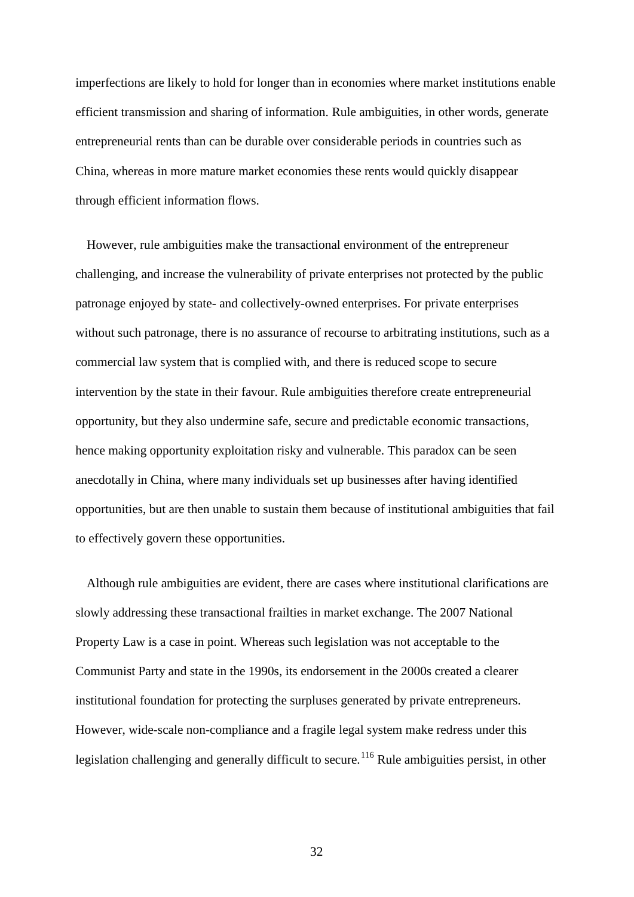imperfections are likely to hold for longer than in economies where market institutions enable efficient transmission and sharing of information. Rule ambiguities, in other words, generate entrepreneurial rents than can be durable over considerable periods in countries such as China, whereas in more mature market economies these rents would quickly disappear through efficient information flows.

However, rule ambiguities make the transactional environment of the entrepreneur challenging, and increase the vulnerability of private enterprises not protected by the public patronage enjoyed by state- and collectively-owned enterprises. For private enterprises without such patronage, there is no assurance of recourse to arbitrating institutions, such as a commercial law system that is complied with, and there is reduced scope to secure intervention by the state in their favour. Rule ambiguities therefore create entrepreneurial opportunity, but they also undermine safe, secure and predictable economic transactions, hence making opportunity exploitation risky and vulnerable. This paradox can be seen anecdotally in China, where many individuals set up businesses after having identified opportunities, but are then unable to sustain them because of institutional ambiguities that fail to effectively govern these opportunities.

Although rule ambiguities are evident, there are cases where institutional clarifications are slowly addressing these transactional frailties in market exchange. The 2007 National Property Law is a case in point. Whereas such legislation was not acceptable to the Communist Party and state in the 1990s, its endorsement in the 2000s created a clearer institutional foundation for protecting the surpluses generated by private entrepreneurs. However, wide-scale non-compliance and a fragile legal system make redress under this legislation challenging and generally difficult to secure.<sup>[116](#page-56-14)</sup> Rule ambiguities persist, in other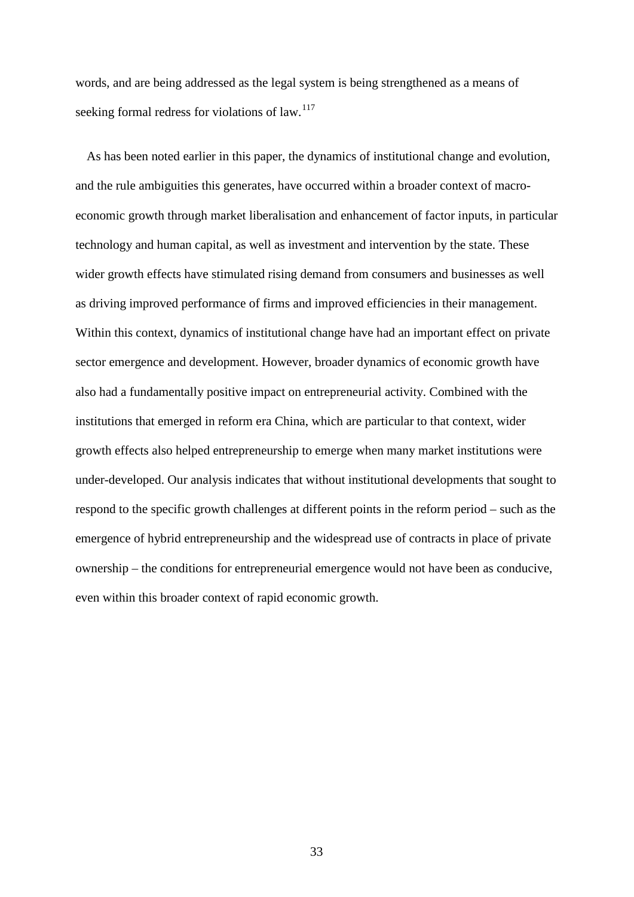words, and are being addressed as the legal system is being strengthened as a means of seeking formal redress for violations of law. $117$ 

As has been noted earlier in this paper, the dynamics of institutional change and evolution, and the rule ambiguities this generates, have occurred within a broader context of macroeconomic growth through market liberalisation and enhancement of factor inputs, in particular technology and human capital, as well as investment and intervention by the state. These wider growth effects have stimulated rising demand from consumers and businesses as well as driving improved performance of firms and improved efficiencies in their management. Within this context, dynamics of institutional change have had an important effect on private sector emergence and development. However, broader dynamics of economic growth have also had a fundamentally positive impact on entrepreneurial activity. Combined with the institutions that emerged in reform era China, which are particular to that context, wider growth effects also helped entrepreneurship to emerge when many market institutions were under-developed. Our analysis indicates that without institutional developments that sought to respond to the specific growth challenges at different points in the reform period – such as the emergence of hybrid entrepreneurship and the widespread use of contracts in place of private ownership – the conditions for entrepreneurial emergence would not have been as conducive, even within this broader context of rapid economic growth.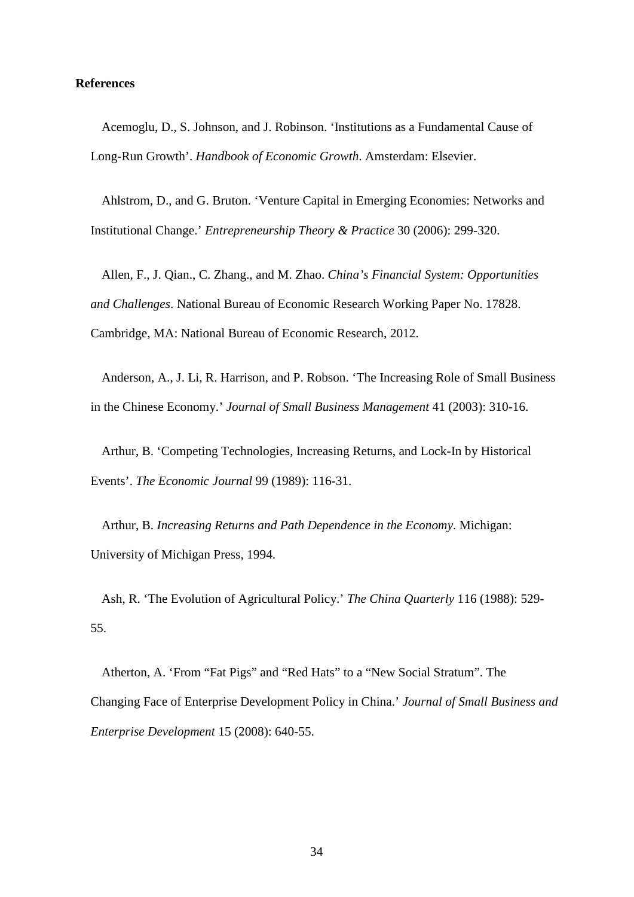## **References**

Acemoglu, D., S. Johnson, and J. Robinson. 'Institutions as a Fundamental Cause of Long-Run Growth'. *Handbook of Economic Growth*. Amsterdam: Elsevier.

Ahlstrom, D., and G. Bruton. 'Venture Capital in Emerging Economies: Networks and Institutional Change.' *Entrepreneurship Theory & Practice* 30 (2006): 299-320.

Allen, F., J. Qian., C. Zhang., and M. Zhao. *China's Financial System: Opportunities and Challenges*. National Bureau of Economic Research Working Paper No. 17828. Cambridge, MA: National Bureau of Economic Research, 2012.

Anderson, A., J. Li, R. Harrison, and P. Robson. 'The Increasing Role of Small Business in the Chinese Economy.' *Journal of Small Business Management* 41 (2003): 310-16.

Arthur, B. 'Competing Technologies, Increasing Returns, and Lock-In by Historical Events'. *The Economic Journal* 99 (1989): 116-31.

Arthur, B. *Increasing Returns and Path Dependence in the Economy*. Michigan: University of Michigan Press, 1994.

Ash, R. 'The Evolution of Agricultural Policy.' *The China Quarterly* 116 (1988): 529- 55.

Atherton, A. 'From "Fat Pigs" and "Red Hats" to a "New Social Stratum". The Changing Face of Enterprise Development Policy in China.' *Journal of Small Business and Enterprise Development* 15 (2008): 640-55.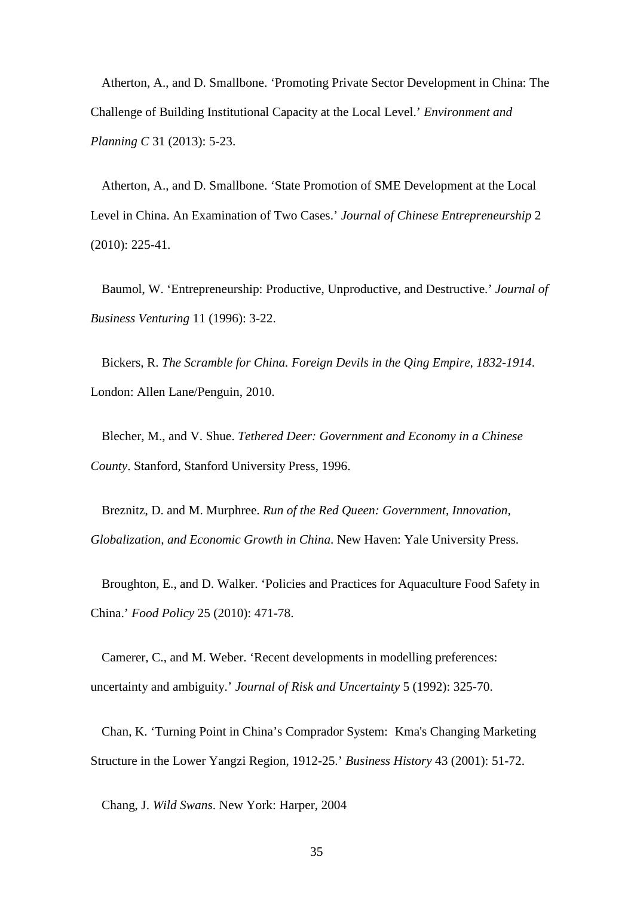Atherton, A., and D. Smallbone. 'Promoting Private Sector Development in China: The Challenge of Building Institutional Capacity at the Local Level.' *Environment and Planning C* 31 (2013): 5-23.

Atherton, A., and D. Smallbone. 'State Promotion of SME Development at the Local Level in China. An Examination of Two Cases.' *Journal of Chinese Entrepreneurship* 2 (2010): 225-41.

Baumol, W. 'Entrepreneurship: Productive, Unproductive, and Destructive.' *Journal of Business Venturing* 11 (1996): 3-22.

Bickers, R. *The Scramble for China. Foreign Devils in the Qing Empire, 1832-1914*. London: Allen Lane/Penguin, 2010.

Blecher, M., and V. Shue. *Tethered Deer: Government and Economy in a Chinese County*. Stanford, Stanford University Press, 1996.

Breznitz, D. and M. Murphree. *Run of the Red Queen: Government, Innovation, Globalization, and Economic Growth in China*. New Haven: Yale University Press.

Broughton, E., and D. Walker. 'Policies and Practices for Aquaculture Food Safety in China.' *Food Policy* 25 (2010): 471-78.

Camerer, C., and M. Weber. 'Recent developments in modelling preferences: uncertainty and ambiguity.' *Journal of Risk and Uncertainty* 5 (1992): 325-70.

Chan, K. 'Turning Point in China's Comprador System: Kma's Changing Marketing Structure in the Lower Yangzi Region, 1912-25.' *Business History* 43 (2001): 51-72.

Chang, J. *Wild Swans*. New York: Harper, 2004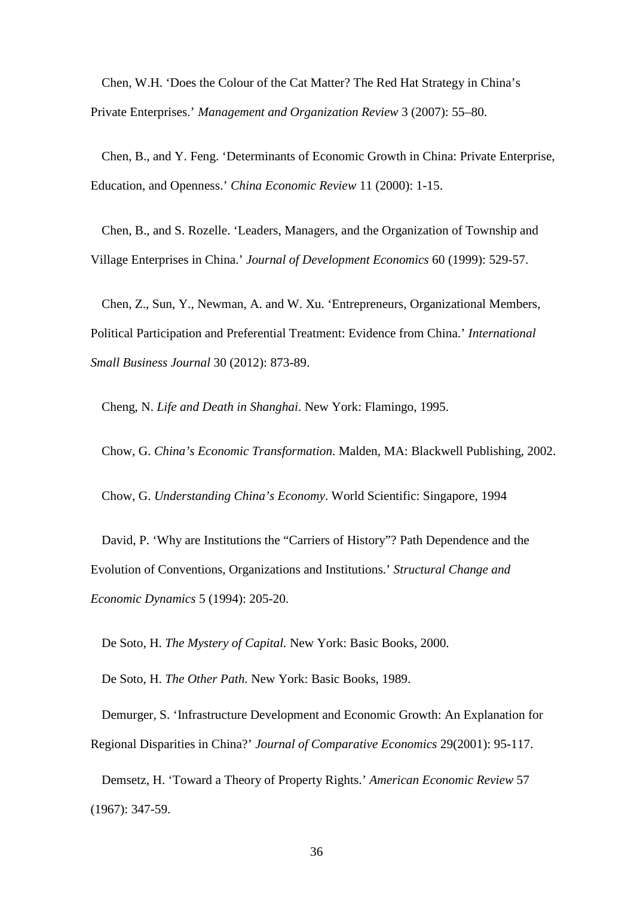Chen, W.H. 'Does the Colour of the Cat Matter? The Red Hat Strategy in China's Private Enterprises.' *Management and Organization Review* 3 (2007): 55–80.

Chen, B., and Y. Feng. 'Determinants of Economic Growth in China: Private Enterprise, Education, and Openness.' *China Economic Review* 11 (2000): 1-15.

Chen, B., and S. Rozelle. 'Leaders, Managers, and the Organization of Township and Village Enterprises in China.' *Journal of Development Economics* 60 (1999): 529-57.

Chen, Z., Sun, Y., Newman, A. and W. Xu. 'Entrepreneurs, Organizational Members, Political Participation and Preferential Treatment: Evidence from China.' *International Small Business Journal* 30 (2012): 873-89.

Cheng, N. *Life and Death in Shanghai*. New York: Flamingo, 1995.

Chow, G. *China's Economic Transformation*. Malden, MA: Blackwell Publishing, 2002.

Chow, G. *Understanding China's Economy*. World Scientific: Singapore, 1994

David, P. 'Why are Institutions the "Carriers of History"? Path Dependence and the Evolution of Conventions, Organizations and Institutions.' *Structural Change and Economic Dynamics* 5 (1994): 205-20.

De Soto, H. *The Mystery of Capital.* New York: Basic Books, 2000.

De Soto, H. *The Other Path.* New York: Basic Books, 1989.

Demurger, S. 'Infrastructure Development and Economic Growth: An Explanation for Regional Disparities in China?' *Journal of Comparative Economics* 29(2001): 95-117.

Demsetz, H. 'Toward a Theory of Property Rights.' *American Economic Review* 57 (1967): 347-59.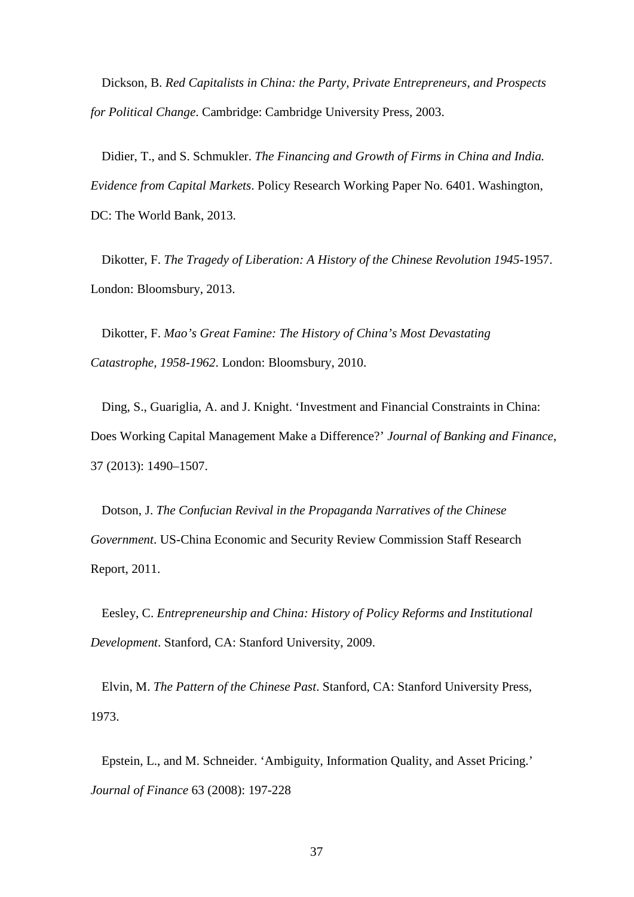Dickson, B. *Red Capitalists in China: the Party, Private Entrepreneurs, and Prospects for Political Change*. Cambridge: Cambridge University Press, 2003.

Didier, T., and S. Schmukler. *The Financing and Growth of Firms in China and India. Evidence from Capital Markets*. Policy Research Working Paper No. 6401. Washington, DC: The World Bank, 2013.

Dikotter, F. *The Tragedy of Liberation: A History of the Chinese Revolution 1945-*1957. London: Bloomsbury, 2013.

Dikotter, F. *Mao's Great Famine: The History of China's Most Devastating Catastrophe, 1958-1962*. London: Bloomsbury, 2010.

Ding, S., Guariglia, A. and J. Knight. 'Investment and Financial Constraints in China: Does Working Capital Management Make a Difference?' *Journal of Banking and Finance*, 37 (2013): 1490–1507.

Dotson, J. *The Confucian Revival in the Propaganda Narratives of the Chinese Government*. US-China Economic and Security Review Commission Staff Research Report, 2011.

Eesley, C. *Entrepreneurship and China: History of Policy Reforms and Institutional Development*. Stanford, CA: Stanford University, 2009.

Elvin, M. *The Pattern of the Chinese Past*. Stanford, CA: Stanford University Press, 1973.

Epstein, L., and M. Schneider. 'Ambiguity, Information Quality, and Asset Pricing.' *Journal of Finance* 63 (2008): 197-228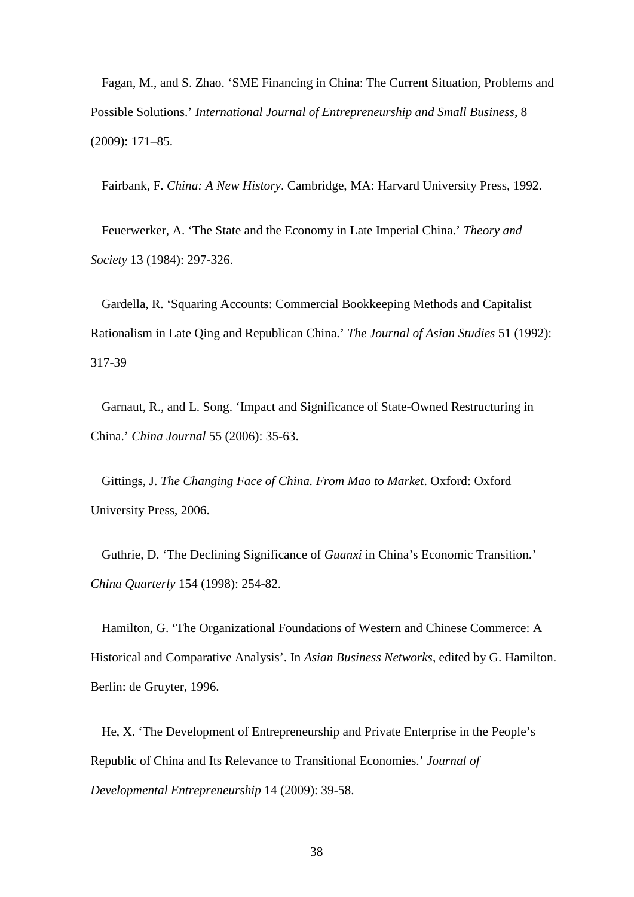Fagan, M., and S. Zhao. 'SME Financing in China: The Current Situation, Problems and Possible Solutions.' *International Journal of Entrepreneurship and Small Business*, 8 (2009): 171–85.

Fairbank, F. *China: A New History*. Cambridge, MA: Harvard University Press, 1992.

Feuerwerker, A. 'The State and the Economy in Late Imperial China.' *Theory and Society* 13 (1984): 297-326.

Gardella, R. 'Squaring Accounts: Commercial Bookkeeping Methods and Capitalist Rationalism in Late Qing and Republican China.' *The Journal of Asian Studies* 51 (1992): 317-39

Garnaut, R., and L. Song. 'Impact and Significance of State-Owned Restructuring in China.' *China Journal* 55 (2006): 35-63.

Gittings, J. *The Changing Face of China. From Mao to Market*. Oxford: Oxford University Press, 2006.

Guthrie, D. 'The Declining Significance of *Guanxi* in China's Economic Transition.' *China Quarterly* 154 (1998): 254-82.

Hamilton, G. 'The Organizational Foundations of Western and Chinese Commerce: A Historical and Comparative Analysis'. In *Asian Business Networks*, edited by G. Hamilton. Berlin: de Gruyter, 1996.

He, X. 'The Development of Entrepreneurship and Private Enterprise in the People's Republic of China and Its Relevance to Transitional Economies.' *Journal of Developmental Entrepreneurship* 14 (2009): 39-58.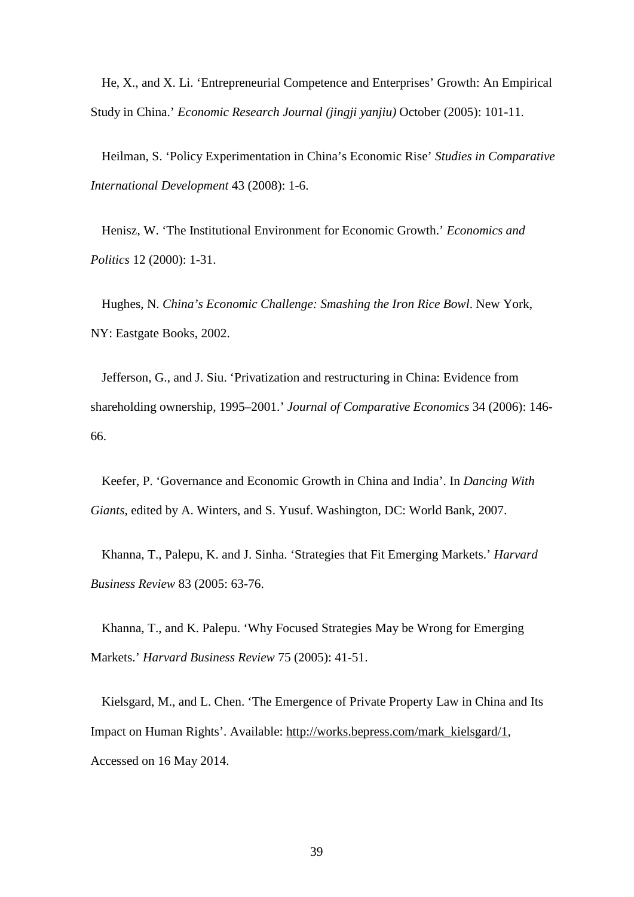He, X., and X. Li. 'Entrepreneurial Competence and Enterprises' Growth: An Empirical Study in China.' *Economic Research Journal (jingji yanjiu)* October (2005): 101-11.

Heilman, S. 'Policy Experimentation in China's Economic Rise' *Studies in Comparative International Development* 43 (2008): 1-6.

Henisz, W. 'The Institutional Environment for Economic Growth.' *Economics and Politics* 12 (2000): 1-31.

Hughes, N. *China's Economic Challenge: Smashing the Iron Rice Bowl*. New York, NY: Eastgate Books, 2002.

Jefferson, G., and J. Siu. 'Privatization and restructuring in China: Evidence from shareholding ownership, 1995–2001.' *Journal of Comparative Economics* 34 (2006): 146- 66.

Keefer, P. 'Governance and Economic Growth in China and India'. In *Dancing With Giants*, edited by A. Winters, and S. Yusuf. Washington, DC: World Bank, 2007.

Khanna, T., Palepu, K. and J. Sinha. 'Strategies that Fit Emerging Markets.' *Harvard Business Review* 83 (2005: 63-76.

Khanna, T., and K. Palepu. 'Why Focused Strategies May be Wrong for Emerging Markets.' *Harvard Business Review* 75 (2005): 41-51.

Kielsgard, M., and L. Chen. 'The Emergence of Private Property Law in China and Its Impact on Human Rights'. Available: [http://works.bepress.com/mark\\_kielsgard/1,](http://works.bepress.com/mark_kielsgard/1) Accessed on 16 May 2014.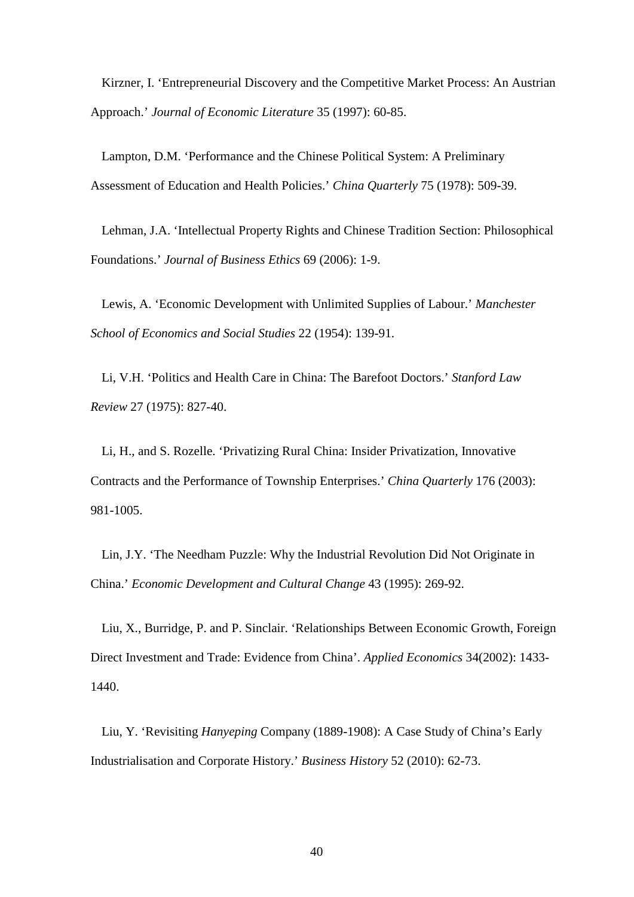Kirzner, I. 'Entrepreneurial Discovery and the Competitive Market Process: An Austrian Approach.' *Journal of Economic Literature* 35 (1997): 60-85.

Lampton, D.M. 'Performance and the Chinese Political System: A Preliminary Assessment of Education and Health Policies.' *China Quarterly* 75 (1978): 509-39.

Lehman, J.A. 'Intellectual Property Rights and Chinese Tradition Section: Philosophical Foundations.' *Journal of Business Ethics* 69 (2006): 1-9.

Lewis, A. 'Economic Development with Unlimited Supplies of Labour.' *Manchester School of Economics and Social Studies* 22 (1954): 139-91.

Li, V.H. 'Politics and Health Care in China: The Barefoot Doctors.' *Stanford Law Review* 27 (1975): 827-40.

Li, H., and S. Rozelle. 'Privatizing Rural China: Insider Privatization, Innovative Contracts and the Performance of Township Enterprises.' *China Quarterly* 176 (2003): 981-1005.

Lin, J.Y. 'The Needham Puzzle: Why the Industrial Revolution Did Not Originate in China.' *Economic Development and Cultural Change* 43 (1995): 269-92.

Liu, X., Burridge, P. and P. Sinclair. 'Relationships Between Economic Growth, Foreign Direct Investment and Trade: Evidence from China'. *Applied Economics* 34(2002): 1433- 1440.

Liu, Y. 'Revisiting *Hanyeping* Company (1889-1908): A Case Study of China's Early Industrialisation and Corporate History.' *Business History* 52 (2010): 62-73.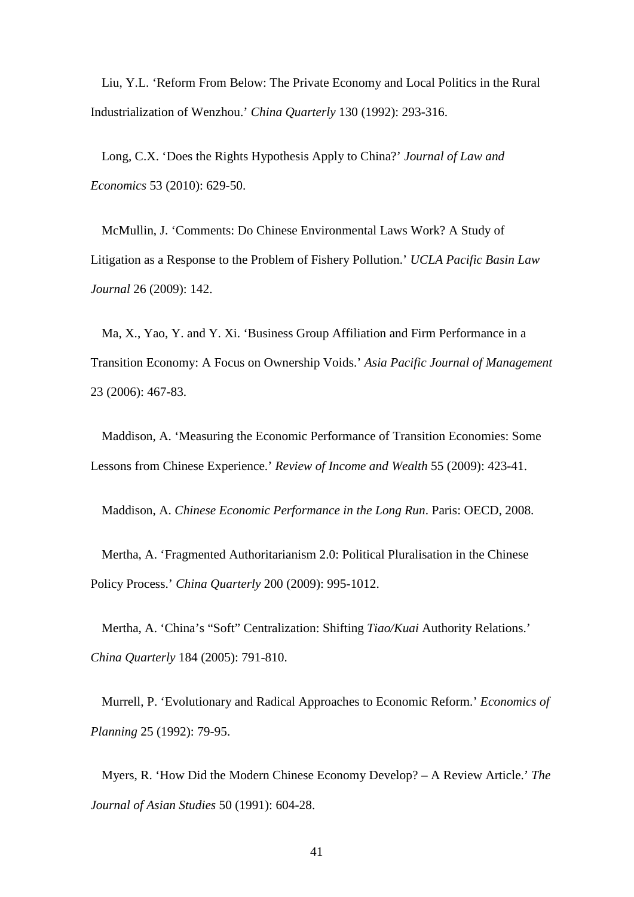Liu, Y.L. 'Reform From Below: The Private Economy and Local Politics in the Rural Industrialization of Wenzhou.' *China Quarterly* 130 (1992): 293-316.

Long, C.X. 'Does the Rights Hypothesis Apply to China?' *Journal of Law and Economics* 53 (2010): 629-50.

McMullin, J. 'Comments: Do Chinese Environmental Laws Work? A Study of Litigation as a Response to the Problem of Fishery Pollution.' *UCLA Pacific Basin Law Journal* 26 (2009): 142.

Ma, X., Yao, Y. and Y. Xi. 'Business Group Affiliation and Firm Performance in a Transition Economy: A Focus on Ownership Voids.' *Asia Pacific Journal of Management*  23 (2006): 467-83.

Maddison, A. 'Measuring the Economic Performance of Transition Economies: Some Lessons from Chinese Experience.' *Review of Income and Wealth* 55 (2009): 423-41.

Maddison, A. *Chinese Economic Performance in the Long Run*. Paris: OECD, 2008.

Mertha, A. 'Fragmented Authoritarianism 2.0: Political Pluralisation in the Chinese Policy Process.' *China Quarterly* 200 (2009): 995-1012.

Mertha, A. 'China's "Soft" Centralization: Shifting *Tiao/Kuai* Authority Relations.' *China Quarterly* 184 (2005): 791-810.

Murrell, P. 'Evolutionary and Radical Approaches to Economic Reform.' *Economics of Planning* 25 (1992): 79-95.

Myers, R. 'How Did the Modern Chinese Economy Develop? – A Review Article.' *The Journal of Asian Studies* 50 (1991): 604-28.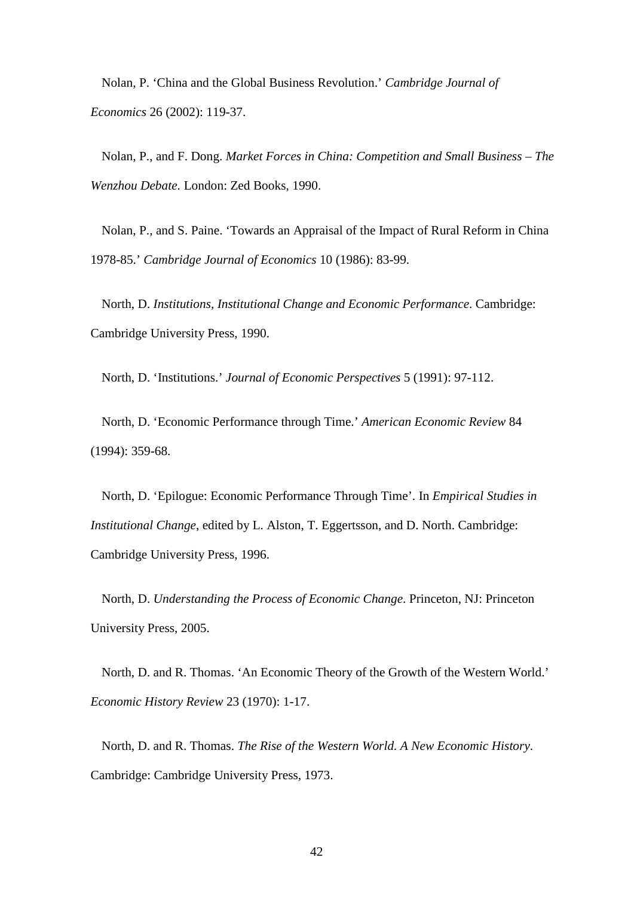Nolan, P. 'China and the Global Business Revolution.' *Cambridge Journal of Economics* 26 (2002): 119-37.

Nolan, P., and F. Dong. *Market Forces in China: Competition and Small Business – The Wenzhou Debate*. London: Zed Books, 1990.

Nolan, P., and S. Paine. 'Towards an Appraisal of the Impact of Rural Reform in China 1978-85.' *Cambridge Journal of Economics* 10 (1986): 83-99.

North, D. *Institutions, Institutional Change and Economic Performance*. Cambridge: Cambridge University Press, 1990.

North, D. 'Institutions.' *Journal of Economic Perspectives* 5 (1991): 97-112.

North, D. 'Economic Performance through Time.' *American Economic Review* 84 (1994): 359-68.

North, D. 'Epilogue: Economic Performance Through Time'. In *Empirical Studies in Institutional Change*, edited by L. Alston, T. Eggertsson, and D. North. Cambridge: Cambridge University Press, 1996.

North, D. *Understanding the Process of Economic Change*. Princeton, NJ: Princeton University Press, 2005.

North, D. and R. Thomas. 'An Economic Theory of the Growth of the Western World.' *Economic History Review* 23 (1970): 1-17.

North, D. and R. Thomas. *The Rise of the Western World. A New Economic History*. Cambridge: Cambridge University Press, 1973.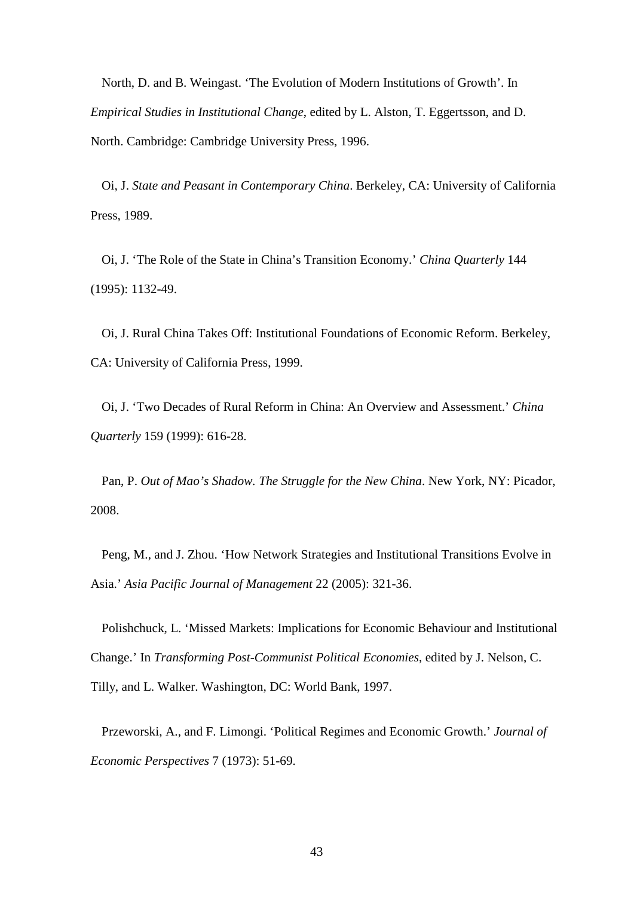North, D. and B. Weingast. 'The Evolution of Modern Institutions of Growth'. In *Empirical Studies in Institutional Change*, edited by L. Alston, T. Eggertsson, and D. North. Cambridge: Cambridge University Press, 1996.

Oi, J. *State and Peasant in Contemporary China*. Berkeley, CA: University of California Press, 1989.

Oi, J. 'The Role of the State in China's Transition Economy.' *China Quarterly* 144 (1995): 1132-49.

Oi, J. Rural China Takes Off: Institutional Foundations of Economic Reform. Berkeley, CA: University of California Press, 1999.

Oi, J. 'Two Decades of Rural Reform in China: An Overview and Assessment.' *China Quarterly* 159 (1999): 616-28.

Pan, P. *Out of Mao's Shadow. The Struggle for the New China*. New York, NY: Picador, 2008.

Peng, M., and J. Zhou. 'How Network Strategies and Institutional Transitions Evolve in Asia.' *Asia Pacific Journal of Management* 22 (2005): 321-36.

Polishchuck, L. 'Missed Markets: Implications for Economic Behaviour and Institutional Change.' In *Transforming Post-Communist Political Economies*, edited by J. Nelson, C. Tilly, and L. Walker. Washington, DC: World Bank, 1997.

Przeworski, A., and F. Limongi. 'Political Regimes and Economic Growth.' *Journal of Economic Perspectives* 7 (1973): 51-69.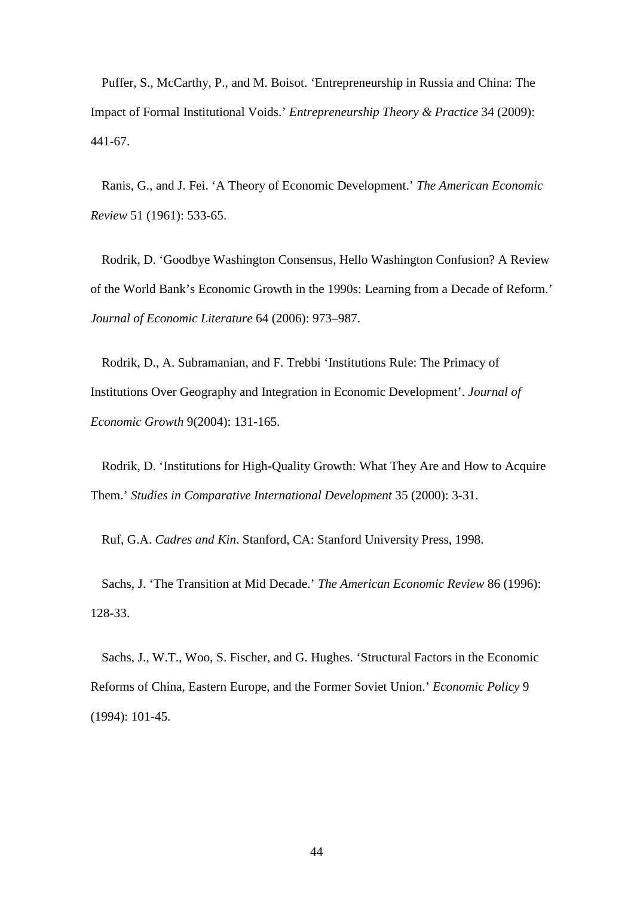Puffer, S., McCarthy, P., and M. Boisot. 'Entrepreneurship in Russia and China: The Impact of Formal Institutional Voids.' *Entrepreneurship Theory & Practice* 34 (2009): 441-67.

Ranis, G., and J. Fei. 'A Theory of Economic Development.' *The American Economic Review* 51 (1961): 533-65.

Rodrik, D. 'Goodbye Washington Consensus, Hello Washington Confusion? A Review of the World Bank's Economic Growth in the 1990s: Learning from a Decade of Reform.' *Journal of Economic Literature* 64 (2006): 973–987.

Rodrik, D., A. Subramanian, and F. Trebbi 'Institutions Rule: The Primacy of Institutions Over Geography and Integration in Economic Development'. *Journal of Economic Growth* 9(2004): 131-165.

Rodrik, D. 'Institutions for High-Quality Growth: What They Are and How to Acquire Them.' *Studies in Comparative International Development* 35 (2000): 3-31.

Ruf, G.A. *Cadres and Kin*. Stanford, CA: Stanford University Press, 1998.

Sachs, J. 'The Transition at Mid Decade.' *The American Economic Review* 86 (1996): 128-33.

Sachs, J., W.T., Woo, S. Fischer, and G. Hughes. 'Structural Factors in the Economic Reforms of China, Eastern Europe, and the Former Soviet Union.' *Economic Policy* 9 (1994): 101-45.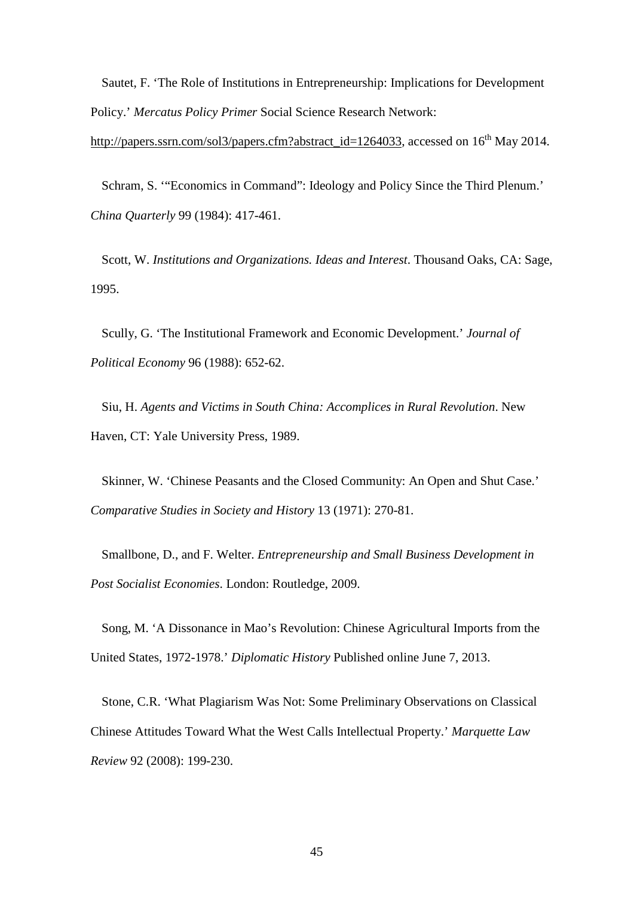Sautet, F. 'The Role of Institutions in Entrepreneurship: Implications for Development Policy.' *Mercatus Policy Primer* Social Science Research Network:

[http://papers.ssrn.com/sol3/papers.cfm?abstract\\_id=1264033,](http://papers.ssrn.com/sol3/papers.cfm?abstract_id=1264033) accessed on 16<sup>th</sup> May 2014.

Schram, S. '"Economics in Command": Ideology and Policy Since the Third Plenum.' *China Quarterly* 99 (1984): 417-461.

Scott, W. *Institutions and Organizations. Ideas and Interest*. Thousand Oaks, CA: Sage, 1995.

Scully, G. 'The Institutional Framework and Economic Development.' *Journal of Political Economy* 96 (1988): 652-62.

Siu, H. *Agents and Victims in South China: Accomplices in Rural Revolution*. New Haven, CT: Yale University Press, 1989.

Skinner, W. 'Chinese Peasants and the Closed Community: An Open and Shut Case.' *Comparative Studies in Society and History* 13 (1971): 270-81.

Smallbone, D., and F. Welter. *Entrepreneurship and Small Business Development in Post Socialist Economies*. London: Routledge, 2009.

Song, M. 'A Dissonance in Mao's Revolution: Chinese Agricultural Imports from the United States, 1972-1978.' *Diplomatic History* Published online June 7, 2013.

Stone, C.R. 'What Plagiarism Was Not: Some Preliminary Observations on Classical Chinese Attitudes Toward What the West Calls Intellectual Property.' *Marquette Law Review* 92 (2008): 199-230.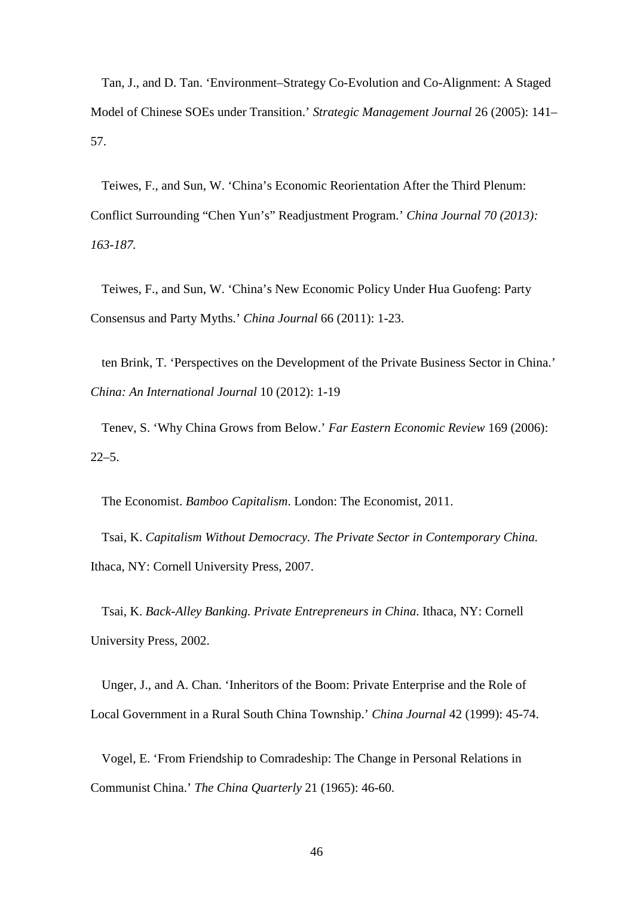Tan, J., and D. Tan. 'Environment–Strategy Co-Evolution and Co-Alignment: A Staged Model of Chinese SOEs under Transition.' *Strategic Management Journal* 26 (2005): 141– 57.

Teiwes, F., and Sun, W. 'China's Economic Reorientation After the Third Plenum: Conflict Surrounding "Chen Yun's" Readjustment Program.' *China Journal 70 (2013): 163-187.*

Teiwes, F., and Sun, W. 'China's New Economic Policy Under Hua Guofeng: Party Consensus and Party Myths.' *China Journal* 66 (2011): 1-23.

ten Brink, T. 'Perspectives on the Development of the Private Business Sector in China.' *China: An International Journal* 10 (2012): 1-19

Tenev, S. 'Why China Grows from Below.' *Far Eastern Economic Review* 169 (2006):  $22 - 5$ .

The Economist. *Bamboo Capitalism*. London: The Economist, 2011.

Tsai, K. *Capitalism Without Democracy. The Private Sector in Contemporary China.* Ithaca, NY: Cornell University Press, 2007.

Tsai, K. *Back-Alley Banking. Private Entrepreneurs in China*. Ithaca, NY: Cornell University Press, 2002.

Unger, J., and A. Chan. 'Inheritors of the Boom: Private Enterprise and the Role of Local Government in a Rural South China Township.' *China Journal* 42 (1999): 45-74.

Vogel, E. 'From Friendship to Comradeship: The Change in Personal Relations in Communist China.' *The China Quarterly* 21 (1965): 46-60.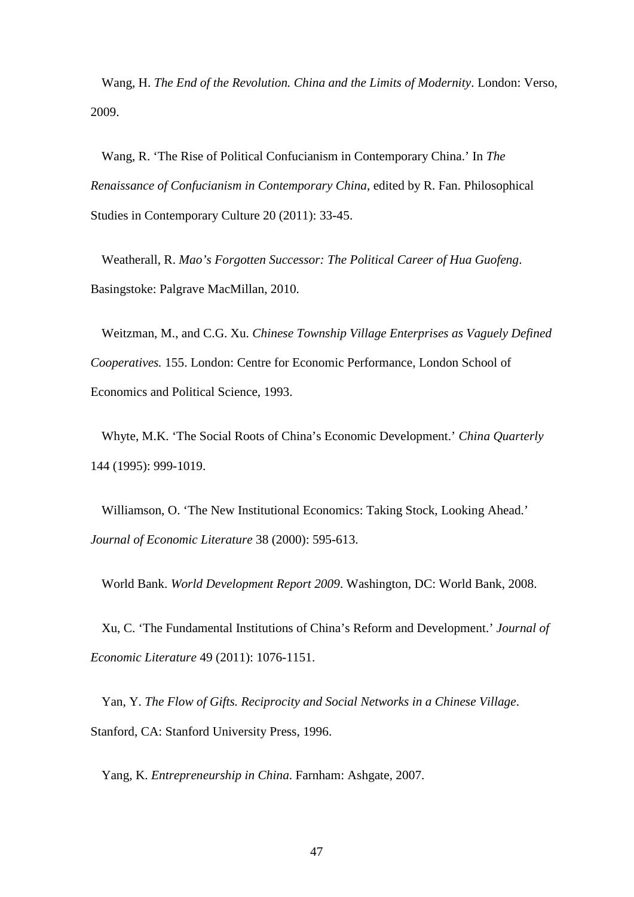Wang, H. *The End of the Revolution. China and the Limits of Modernity*. London: Verso, 2009.

Wang, R. 'The Rise of Political Confucianism in Contemporary China.' In *The Renaissance of Confucianism in Contemporary China*, edited by R. Fan. Philosophical Studies in Contemporary Culture 20 (2011): 33-45.

Weatherall, R. *Mao's Forgotten Successor: The Political Career of Hua Guofeng*. Basingstoke: Palgrave MacMillan, 2010.

Weitzman, M., and C.G. Xu. *Chinese Township Village Enterprises as Vaguely Defined Cooperatives.* 155. London: Centre for Economic Performance, London School of Economics and Political Science, 1993.

Whyte, M.K. 'The Social Roots of China's Economic Development.' *China Quarterly* 144 (1995): 999-1019.

Williamson, O. 'The New Institutional Economics: Taking Stock, Looking Ahead.' *Journal of Economic Literature* 38 (2000): 595-613.

World Bank. *World Development Report 2009*. Washington, DC: World Bank, 2008.

Xu, C. 'The Fundamental Institutions of China's Reform and Development.' *Journal of Economic Literature* 49 (2011): 1076-1151.

Yan, Y. *The Flow of Gifts. Reciprocity and Social Networks in a Chinese Village*. Stanford, CA: Stanford University Press, 1996.

Yang, K. *Entrepreneurship in China*. Farnham: Ashgate, 2007.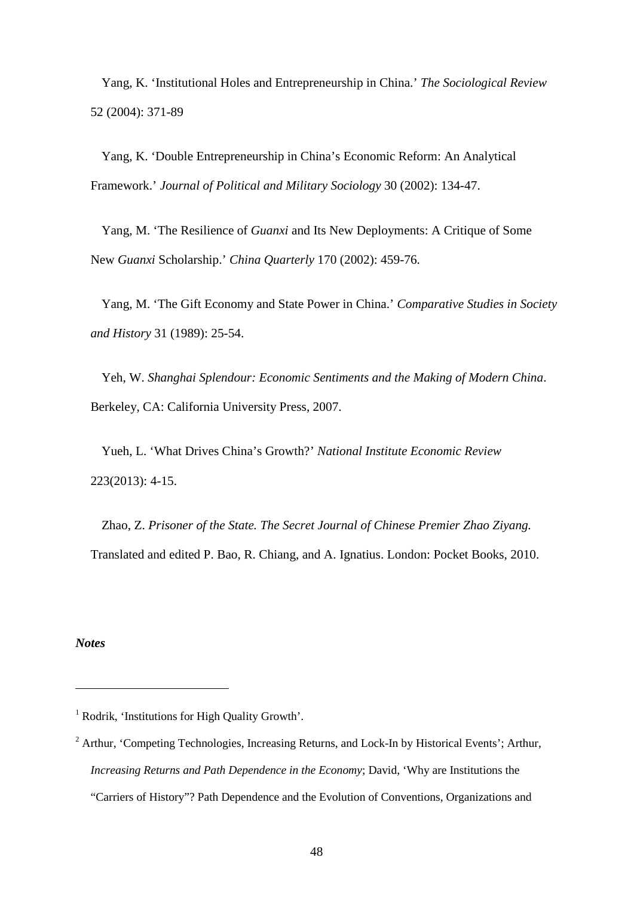Yang, K. 'Institutional Holes and Entrepreneurship in China.' *The Sociological Review*  52 (2004): 371-89

Yang, K. 'Double Entrepreneurship in China's Economic Reform: An Analytical Framework.' *Journal of Political and Military Sociology* 30 (2002): 134-47.

Yang, M. 'The Resilience of *Guanxi* and Its New Deployments: A Critique of Some New *Guanxi* Scholarship.' *China Quarterly* 170 (2002): 459-76.

Yang, M. 'The Gift Economy and State Power in China.' *Comparative Studies in Society and History* 31 (1989): 25-54.

Yeh, W. *Shanghai Splendour: Economic Sentiments and the Making of Modern China*. Berkeley, CA: California University Press, 2007.

Yueh, L. 'What Drives China's Growth?' *National Institute Economic Review* 223(2013): 4-15.

Zhao, Z. *Prisoner of the State. The Secret Journal of Chinese Premier Zhao Ziyang.* Translated and edited P. Bao, R. Chiang, and A. Ignatius. London: Pocket Books, 2010.

*Notes*

<sup>&</sup>lt;sup>1</sup> Rodrik, 'Institutions for High Quality Growth'.

<sup>&</sup>lt;sup>2</sup> Arthur, 'Competing Technologies, Increasing Returns, and Lock-In by Historical Events'; Arthur, *Increasing Returns and Path Dependence in the Economy*; David, 'Why are Institutions the "Carriers of History"? Path Dependence and the Evolution of Conventions, Organizations and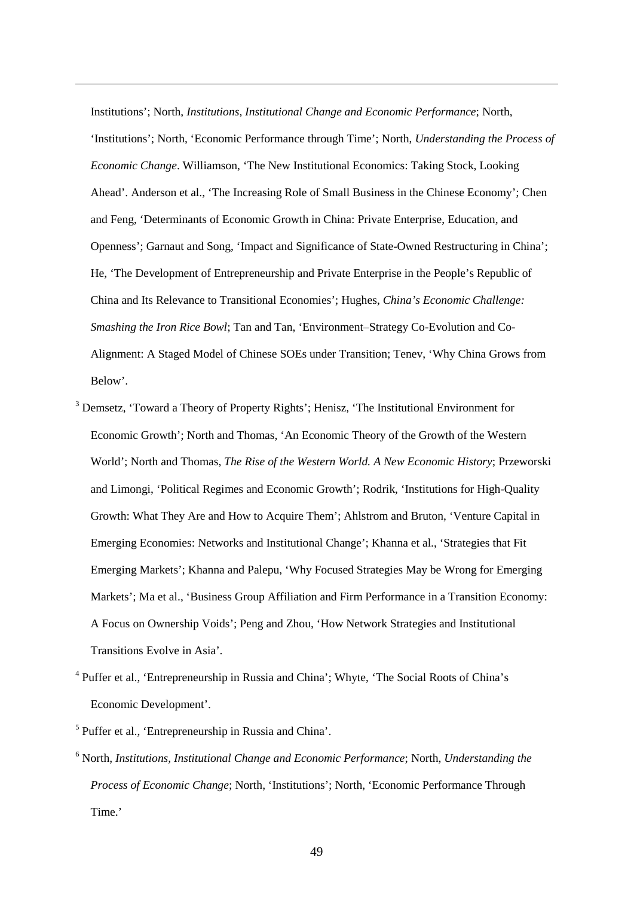Institutions'; North, *Institutions, Institutional Change and Economic Performance*; North, 'Institutions'; North, 'Economic Performance through Time'; North, *Understanding the Process of Economic Change*. Williamson, 'The New Institutional Economics: Taking Stock, Looking Ahead'. Anderson et al., 'The Increasing Role of Small Business in the Chinese Economy'; Chen and Feng, 'Determinants of Economic Growth in China: Private Enterprise, Education, and Openness'; Garnaut and Song, 'Impact and Significance of State-Owned Restructuring in China'; He, 'The Development of Entrepreneurship and Private Enterprise in the People's Republic of China and Its Relevance to Transitional Economies'; Hughes, *China's Economic Challenge: Smashing the Iron Rice Bowl*; Tan and Tan, 'Environment–Strategy Co-Evolution and Co-Alignment: A Staged Model of Chinese SOEs under Transition; Tenev, 'Why China Grows from Below'.

- <span id="page-49-2"></span><sup>3</sup> Demsetz, 'Toward a Theory of Property Rights'; Henisz, 'The Institutional Environment for Economic Growth'; North and Thomas, 'An Economic Theory of the Growth of the Western World'; North and Thomas, *The Rise of the Western World. A New Economic History*; Przeworski and Limongi, 'Political Regimes and Economic Growth'; Rodrik, 'Institutions for High-Quality Growth: What They Are and How to Acquire Them'; Ahlstrom and Bruton, 'Venture Capital in Emerging Economies: Networks and Institutional Change'; Khanna et al., 'Strategies that Fit Emerging Markets'; Khanna and Palepu, 'Why Focused Strategies May be Wrong for Emerging Markets'; Ma et al., 'Business Group Affiliation and Firm Performance in a Transition Economy: A Focus on Ownership Voids'; Peng and Zhou, 'How Network Strategies and Institutional Transitions Evolve in Asia'.
- <span id="page-49-3"></span><sup>4</sup> Puffer et al., 'Entrepreneurship in Russia and China'; Whyte, 'The Social Roots of China's Economic Development'.
- <span id="page-49-4"></span><span id="page-49-1"></span><span id="page-49-0"></span><sup>5</sup> Puffer et al., 'Entrepreneurship in Russia and China'.

-

<span id="page-49-5"></span><sup>6</sup> North, *Institutions, Institutional Change and Economic Performance*; North, *Understanding the Process of Economic Change*; North, 'Institutions'; North, 'Economic Performance Through Time.'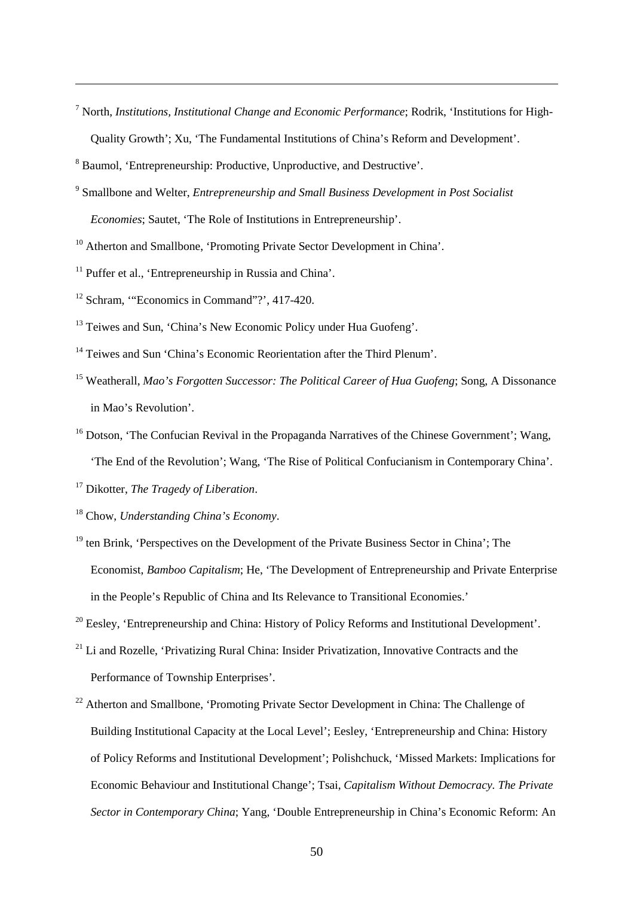<span id="page-50-0"></span><sup>7</sup> North, *Institutions, Institutional Change and Economic Performance*; Rodrik, 'Institutions for High-Quality Growth'; Xu, 'The Fundamental Institutions of China's Reform and Development'.

- <span id="page-50-2"></span><sup>9</sup> Smallbone and Welter, *Entrepreneurship and Small Business Development in Post Socialist Economies*; Sautet, 'The Role of Institutions in Entrepreneurship'.
- <span id="page-50-3"></span><sup>10</sup> Atherton and Smallbone, 'Promoting Private Sector Development in China'.
- <span id="page-50-4"></span><sup>11</sup> Puffer et al., 'Entrepreneurship in Russia and China'.
- <sup>12</sup> Schram, "Economics in Command"?', 417-420.

-

- <sup>13</sup> Teiwes and Sun, 'China's New Economic Policy under Hua Guofeng'.
- <sup>14</sup> Teiwes and Sun 'China's Economic Reorientation after the Third Plenum'.
- <sup>15</sup> Weatherall, *Mao's Forgotten Successor: The Political Career of Hua Guofeng*; Song, A Dissonance in Mao's Revolution'.
- <sup>16</sup> Dotson, 'The Confucian Revival in the Propaganda Narratives of the Chinese Government'; Wang, 'The End of the Revolution'; Wang, 'The Rise of Political Confucianism in Contemporary China'.

<sup>17</sup> Dikotter, *The Tragedy of Liberation*.

<sup>18</sup> Chow, *Understanding China's Economy*.

- $19$  ten Brink, 'Perspectives on the Development of the Private Business Sector in China'; The Economist, *Bamboo Capitalism*; He, 'The Development of Entrepreneurship and Private Enterprise in the People's Republic of China and Its Relevance to Transitional Economies.'
- <sup>20</sup> Eesley, 'Entrepreneurship and China: History of Policy Reforms and Institutional Development'.
- $21$  Li and Rozelle, 'Privatizing Rural China: Insider Privatization, Innovative Contracts and the Performance of Township Enterprises'.
- <sup>22</sup> Atherton and Smallbone, 'Promoting Private Sector Development in China: The Challenge of Building Institutional Capacity at the Local Level'; Eesley, 'Entrepreneurship and China: History of Policy Reforms and Institutional Development'; Polishchuck, 'Missed Markets: Implications for Economic Behaviour and Institutional Change'; Tsai, *Capitalism Without Democracy. The Private Sector in Contemporary China*; Yang, 'Double Entrepreneurship in China's Economic Reform: An

<span id="page-50-1"></span><sup>8</sup> Baumol, 'Entrepreneurship: Productive, Unproductive, and Destructive'.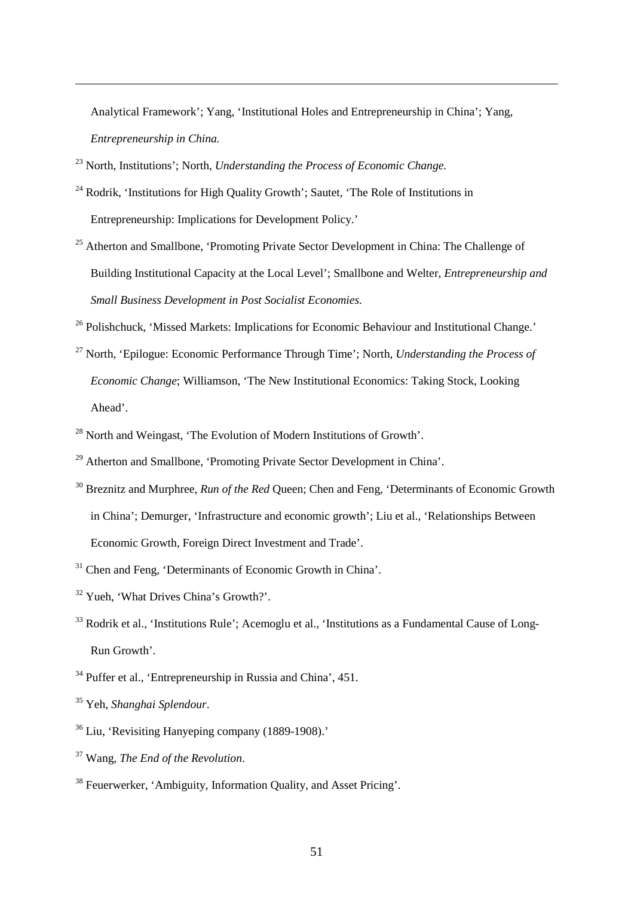Analytical Framework'; Yang, 'Institutional Holes and Entrepreneurship in China'; Yang, *Entrepreneurship in China.*

<sup>23</sup> North, Institutions'; North, *Understanding the Process of Economic Change.*

- <sup>24</sup> Rodrik, 'Institutions for High Quality Growth'; Sautet, 'The Role of Institutions in Entrepreneurship: Implications for Development Policy.'
- <sup>25</sup> Atherton and Smallbone, 'Promoting Private Sector Development in China: The Challenge of Building Institutional Capacity at the Local Level'; Smallbone and Welter, *Entrepreneurship and Small Business Development in Post Socialist Economies.*

<span id="page-51-1"></span><span id="page-51-0"></span><sup>26</sup> Polishchuck, 'Missed Markets: Implications for Economic Behaviour and Institutional Change.'

- <span id="page-51-2"></span><sup>27</sup> North, 'Epilogue: Economic Performance Through Time'; North, *Understanding the Process of Economic Change*; Williamson, 'The New Institutional Economics: Taking Stock, Looking Ahead'.
- <sup>28</sup> North and Weingast, 'The Evolution of Modern Institutions of Growth'.
- <sup>29</sup> Atherton and Smallbone, 'Promoting Private Sector Development in China'.
- <sup>30</sup> Breznitz and Murphree, *Run of the Red* Queen; Chen and Feng, 'Determinants of Economic Growth in China'; Demurger, 'Infrastructure and economic growth'; Liu et al., 'Relationships Between Economic Growth, Foreign Direct Investment and Trade'.
- <sup>31</sup> Chen and Feng, 'Determinants of Economic Growth in China'.
- <sup>32</sup> Yueh, 'What Drives China's Growth?'.
- <sup>33</sup> Rodrik et al., 'Institutions Rule'; Acemoglu et al., 'Institutions as a Fundamental Cause of Long-Run Growth'.
- <sup>34</sup> Puffer et al., 'Entrepreneurship in Russia and China', 451.
- <sup>35</sup> Yeh, *Shanghai Splendour*.

- <sup>36</sup> Liu, 'Revisiting Hanyeping company (1889-1908).'
- <sup>37</sup> Wang, *The End of the Revolution*.
- <sup>38</sup> Feuerwerker, 'Ambiguity, Information Quality, and Asset Pricing'.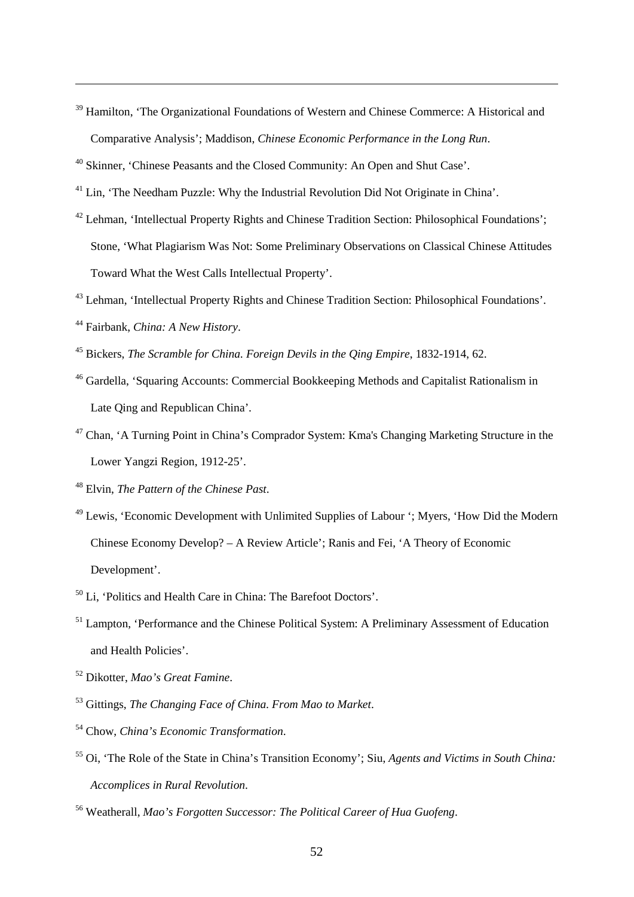<sup>39</sup> Hamilton, 'The Organizational Foundations of Western and Chinese Commerce: A Historical and Comparative Analysis'; Maddison, *Chinese Economic Performance in the Long Run*.

<sup>40</sup> Skinner, 'Chinese Peasants and the Closed Community: An Open and Shut Case'.

<sup>41</sup> Lin, 'The Needham Puzzle: Why the Industrial Revolution Did Not Originate in China'.

- <sup>42</sup> Lehman, 'Intellectual Property Rights and Chinese Tradition Section: Philosophical Foundations'; Stone, 'What Plagiarism Was Not: Some Preliminary Observations on Classical Chinese Attitudes Toward What the West Calls Intellectual Property'.
- <sup>43</sup> Lehman, 'Intellectual Property Rights and Chinese Tradition Section: Philosophical Foundations'.
- <sup>44</sup> Fairbank, *China: A New History*.

- <sup>45</sup> Bickers, *The Scramble for China. Foreign Devils in the Qing Empire*, 1832-1914, 62.
- <span id="page-52-0"></span><sup>46</sup> Gardella, 'Squaring Accounts: Commercial Bookkeeping Methods and Capitalist Rationalism in Late Qing and Republican China'.
- <span id="page-52-1"></span><sup>47</sup> Chan, 'A Turning Point in China's Comprador System: Kma's Changing Marketing Structure in the Lower Yangzi Region, 1912-25'.
- <span id="page-52-2"></span><sup>48</sup> Elvin, *The Pattern of the Chinese Past*.
- <span id="page-52-4"></span><span id="page-52-3"></span><sup>49</sup> Lewis, 'Economic Development with Unlimited Supplies of Labour '; Myers, 'How Did the Modern Chinese Economy Develop? – A Review Article'; Ranis and Fei, 'A Theory of Economic Development'.
- <sup>50</sup> Li, 'Politics and Health Care in China: The Barefoot Doctors'.
- <span id="page-52-5"></span><sup>51</sup> Lampton, 'Performance and the Chinese Political System: A Preliminary Assessment of Education and Health Policies'.
- <sup>52</sup> Dikotter, *Mao's Great Famine*.
- <sup>53</sup> Gittings, *The Changing Face of China. From Mao to Market*.
- <sup>54</sup> Chow, *China's Economic Transformation*.
- <sup>55</sup> Oi, 'The Role of the State in China's Transition Economy'; Siu, *Agents and Victims in South China: Accomplices in Rural Revolution*.

<sup>56</sup> Weatherall, *Mao's Forgotten Successor: The Political Career of Hua Guofeng*.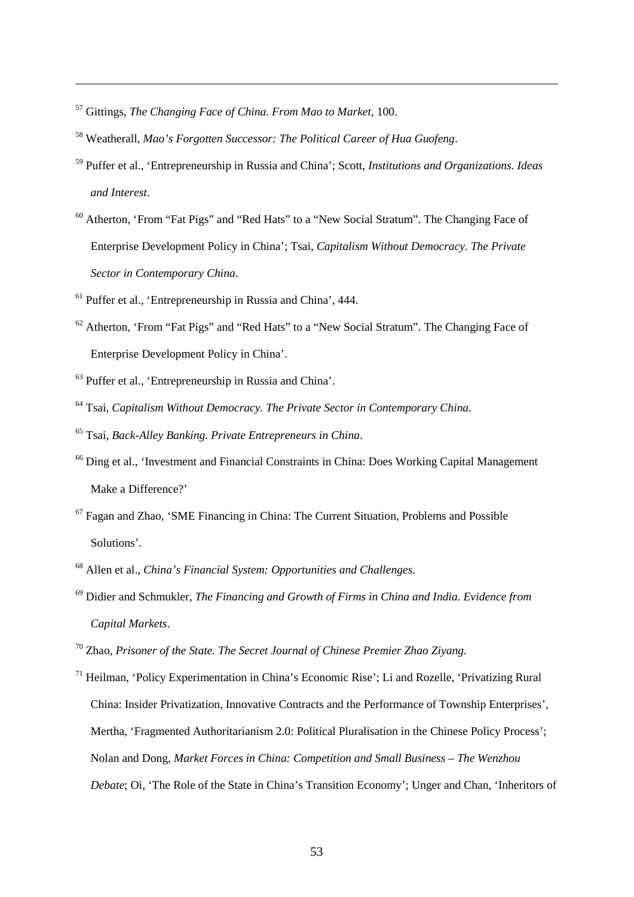<sup>57</sup> Gittings, *The Changing Face of China. From Mao to Market*, 100.

- <sup>58</sup> Weatherall, *Mao's Forgotten Successor: The Political Career of Hua Guofeng*.
- <sup>59</sup> Puffer et al., 'Entrepreneurship in Russia and China'; Scott, *Institutions and Organizations. Ideas and Interest*.
- <sup>60</sup> Atherton, 'From "Fat Pigs" and "Red Hats" to a "New Social Stratum". The Changing Face of Enterprise Development Policy in China'; Tsai, *Capitalism Without Democracy. The Private Sector in Contemporary China*.
- $<sup>61</sup>$  Puffer et al., 'Entrepreneurship in Russia and China', 444.</sup>
- <sup>62</sup> Atherton, 'From "Fat Pigs" and "Red Hats" to a "New Social Stratum". The Changing Face of Enterprise Development Policy in China'.
- <sup>63</sup> Puffer et al., 'Entrepreneurship in Russia and China'.
- <sup>64</sup> Tsai, *Capitalism Without Democracy. The Private Sector in Contemporary China*.
- <sup>65</sup> Tsai, *Back-Alley Banking. Private Entrepreneurs in China*.
- <sup>66</sup> Ding et al., 'Investment and Financial Constraints in China: Does Working Capital Management Make a Difference?'
- $67$  Fagan and Zhao, 'SME Financing in China: The Current Situation, Problems and Possible Solutions'.
- <sup>68</sup> Allen et al., *China's Financial System: Opportunities and Challenges*.
- <sup>69</sup> Didier and Schmukler, *The Financing and Growth of Firms in China and India. Evidence from Capital Markets*.
- <span id="page-53-0"></span><sup>70</sup> Zhao, *Prisoner of the State. The Secret Journal of Chinese Premier Zhao Ziyang.*
- <span id="page-53-1"></span><sup>71</sup> Heilman, 'Policy Experimentation in China's Economic Rise'; Li and Rozelle, 'Privatizing Rural China: Insider Privatization, Innovative Contracts and the Performance of Township Enterprises', Mertha, 'Fragmented Authoritarianism 2.0: Political Pluralisation in the Chinese Policy Process'; Nolan and Dong, *Market Forces in China: Competition and Small Business – The Wenzhou Debate*; Oi, 'The Role of the State in China's Transition Economy'; Unger and Chan, 'Inheritors of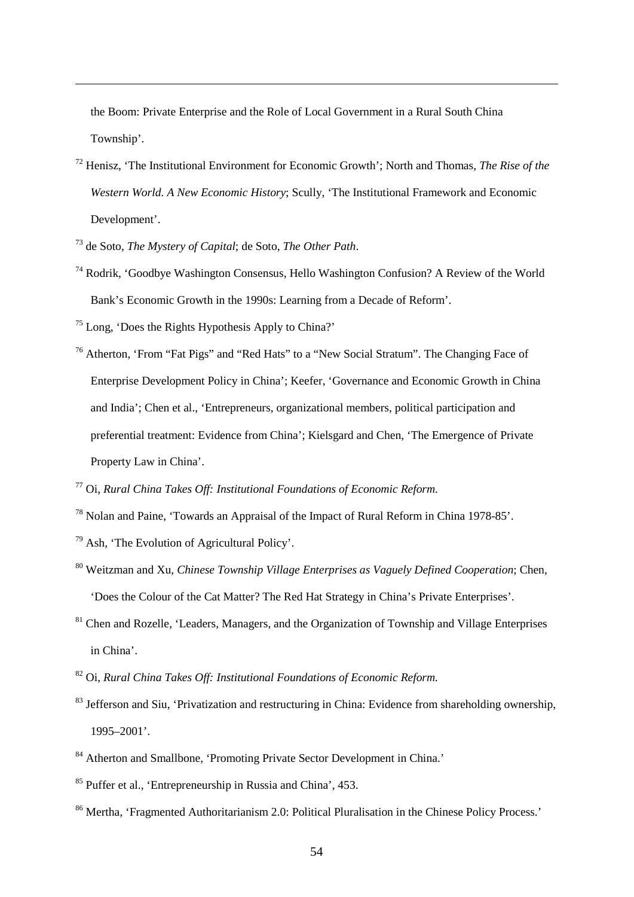the Boom: Private Enterprise and the Role of Local Government in a Rural South China Township'.

- <span id="page-54-1"></span><span id="page-54-0"></span><sup>72</sup> Henisz, 'The Institutional Environment for Economic Growth'; North and Thomas, *The Rise of the Western World. A New Economic History*; Scully, 'The Institutional Framework and Economic Development'.
- <span id="page-54-2"></span><sup>73</sup> de Soto, *The Mystery of Capital*; de Soto, *The Other Path*.

- <sup>74</sup> Rodrik, 'Goodbye Washington Consensus, Hello Washington Confusion? A Review of the World Bank's Economic Growth in the 1990s: Learning from a Decade of Reform'.
- <span id="page-54-3"></span><sup>75</sup> Long, 'Does the Rights Hypothesis Apply to China?'
- <span id="page-54-4"></span><sup>76</sup> Atherton, 'From "Fat Pigs" and "Red Hats" to a "New Social Stratum". The Changing Face of Enterprise Development Policy in China'; Keefer, 'Governance and Economic Growth in China and India'; Chen et al., 'Entrepreneurs, organizational members, political participation and preferential treatment: Evidence from China'; Kielsgard and Chen, 'The Emergence of Private Property Law in China'.

- <sup>78</sup> Nolan and Paine, 'Towards an Appraisal of the Impact of Rural Reform in China 1978-85'.
- $79$  Ash, 'The Evolution of Agricultural Policy'.
- <sup>80</sup> Weitzman and Xu, *Chinese Township Village Enterprises as Vaguely Defined Cooperation*; Chen, 'Does the Colour of the Cat Matter? The Red Hat Strategy in China's Private Enterprises'.
- <sup>81</sup> Chen and Rozelle, 'Leaders, Managers, and the Organization of Township and Village Enterprises in China'.
- <sup>82</sup> Oi, *Rural China Takes Off: Institutional Foundations of Economic Reform.*
- <sup>83</sup> Jefferson and Siu, 'Privatization and restructuring in China: Evidence from shareholding ownership, 1995–2001'.
- <sup>84</sup> Atherton and Smallbone, 'Promoting Private Sector Development in China.'
- <sup>85</sup> Puffer et al., 'Entrepreneurship in Russia and China', 453.
- <sup>86</sup> Mertha, 'Fragmented Authoritarianism 2.0: Political Pluralisation in the Chinese Policy Process.'

<span id="page-54-5"></span><sup>77</sup> Oi, *Rural China Takes Off: Institutional Foundations of Economic Reform.*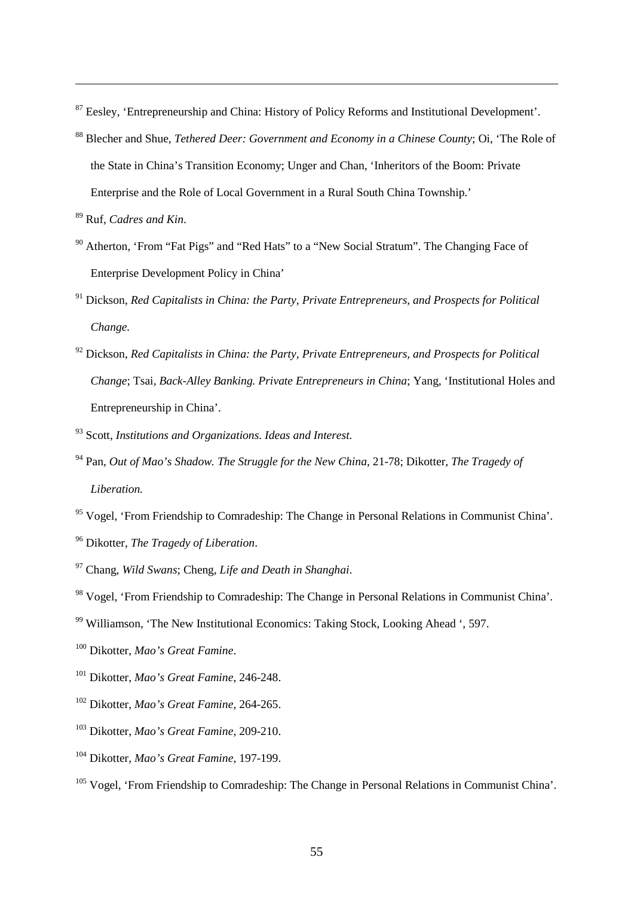Eesley, 'Entrepreneurship and China: History of Policy Reforms and Institutional Development'.

- Blecher and Shue, *Tethered Deer: Government and Economy in a Chinese County*; Oi, 'The Role of the State in China's Transition Economy; Unger and Chan, 'Inheritors of the Boom: Private Enterprise and the Role of Local Government in a Rural South China Township.'
- Ruf, *Cadres and Kin*.

- <sup>90</sup> Atherton, 'From "Fat Pigs" and "Red Hats" to a "New Social Stratum". The Changing Face of Enterprise Development Policy in China'
- Dickson, *Red Capitalists in China: the Party, Private Entrepreneurs, and Prospects for Political Change.*
- Dickson, *Red Capitalists in China: the Party, Private Entrepreneurs, and Prospects for Political Change*; Tsai, *Back-Alley Banking. Private Entrepreneurs in China*; Yang, 'Institutional Holes and Entrepreneurship in China'.
- Scott, *Institutions and Organizations. Ideas and Interest.*
- <span id="page-55-0"></span> Pan, *Out of Mao's Shadow. The Struggle for the New China*, 21-78; Dikotter, *The Tragedy of Liberation.*
- <span id="page-55-1"></span><sup>95</sup> Vogel, 'From Friendship to Comradeship: The Change in Personal Relations in Communist China'.
- Dikotter, *The Tragedy of Liberation*.
- <span id="page-55-2"></span>Chang, *Wild Swans*; Cheng*, Life and Death in Shanghai*.

- <span id="page-55-4"></span>Williamson, 'The New Institutional Economics: Taking Stock, Looking Ahead ', 597.
- Dikotter, *Mao's Great Famine*.
- Dikotter, *Mao's Great Famine*, 246-248.
- Dikotter, *Mao's Great Famine*, 264-265.
- Dikotter, *Mao's Great Famine*, 209-210.
- Dikotter, *Mao's Great Famine*, 197-199.
- <sup>105</sup> Vogel, 'From Friendship to Comradeship: The Change in Personal Relations in Communist China'.

<span id="page-55-3"></span>Vogel, 'From Friendship to Comradeship: The Change in Personal Relations in Communist China'.